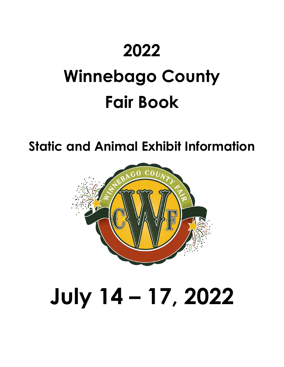# **2022**

# **Winnebago County Fair Book**

**Static and Animal Exhibit Information**



# **July 14 – 17, 2022**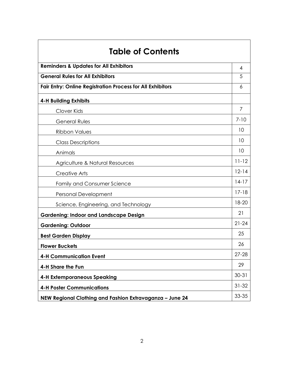| <b>Table of Contents</b>                                          |           |
|-------------------------------------------------------------------|-----------|
| <b>Reminders &amp; Updates for All Exhibitors</b>                 | 4         |
| <b>General Rules for All Exhibitors</b>                           | 5         |
| <b>Fair Entry: Online Registration Process for All Exhibitors</b> | 6         |
| <b>4-H Building Exhibits</b>                                      |           |
| Clover Kids                                                       | 7         |
| General Rules                                                     | $7 - 10$  |
| <b>Ribbon Values</b>                                              | 10        |
| <b>Class Descriptions</b>                                         | 10        |
| Animals                                                           | 10        |
| Agriculture & Natural Resources                                   | $11 - 12$ |
| <b>Creative Arts</b>                                              | $12 - 14$ |
| <b>Family and Consumer Science</b>                                | $14-17$   |
| Personal Development                                              | $17 - 18$ |
| Science, Engineering, and Technology                              | 18-20     |
| <b>Gardening: Indoor and Landscape Design</b>                     | 21        |
| <b>Gardening: Outdoor</b>                                         | $21 - 24$ |
| <b>Best Garden Display</b>                                        | 25        |
| <b>Flower Buckets</b>                                             | 26        |
| <b>4-H Communication Event</b>                                    | $27 - 28$ |
| 4-H Share the Fun                                                 | 29        |
| <b>4-H Extemporaneous Speaking</b>                                | $30 - 31$ |
| <b>4-H Poster Communications</b>                                  | $31 - 32$ |
| NEW Regional Clothing and Fashion Extravaganza - June 24          | 33-35     |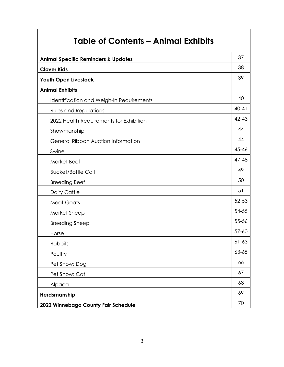| <b>Table of Contents - Animal Exhibits</b>     |           |
|------------------------------------------------|-----------|
| <b>Animal Specific Reminders &amp; Updates</b> | 37        |
| <b>Clover Kids</b>                             | 38        |
| Youth Open Livestock                           | 39        |
| <b>Animal Exhibits</b>                         |           |
| Identification and Weigh-In Requirements       | 40        |
| <b>Rules and Regulations</b>                   | $40 - 41$ |
| 2022 Health Requirements for Exhibition        | $42 - 43$ |
| Showmanship                                    | 44        |
| <b>General Ribbon Auction Information</b>      | 44        |
| Swine                                          | 45-46     |
| <b>Market Beef</b>                             | 47-48     |
| <b>Bucket/Bottle Calf</b>                      | 49        |
| <b>Breeding Beef</b>                           | 50        |
| Dairy Cattle                                   | 51        |
| <b>Meat Goats</b>                              | $52 - 53$ |
| Market Sheep                                   | 54-55     |
| <b>Breeding Sheep</b>                          | 55-56     |
| Horse                                          | $57 - 60$ |
| Rabbits                                        | $61 - 63$ |

# Poultry and the contract of the contract of the contract of the contract of the contract of the contract of the contract of the contract of the contract of the contract of the contract of the contract of the contract of th Pet Show: Dog 66 Pet Show: Cat 67 Alpaca (1986) and the contract of the contract of the contract of the contract of the contract of the contract of the contract of the contract of the contract of the contract of the contract of the contract of the contract **Herdsmanship** 69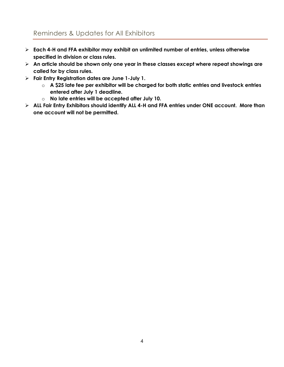# Reminders & Updates for All Exhibitors

- ➢ **Each 4-H and FFA exhibitor may exhibit an unlimited number of entries, unless otherwise specified in division or class rules.**
- ➢ **An article should be shown only one year in these classes except where repeat showings are called for by class rules.**
- ➢ **Fair Entry Registration dates are June 1-July 1.** 
	- o **A \$25 late fee per exhibitor will be charged for both static entries and livestock entries entered after July 1 deadline.**
	- o **No late entries will be accepted after July 10.**
- ➢ **ALL Fair Entry Exhibitors should identify ALL 4-H and FFA entries under ONE account. More than one account will not be permitted.**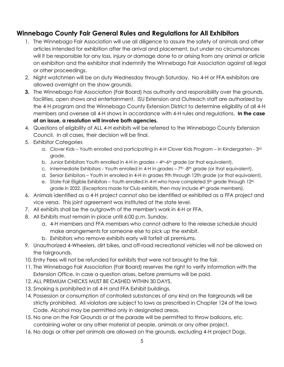# **Winnebago County Fair General Rules and Regulations for All Exhibitors**

- 1. The Winnebago Fair Association will use all diligence to assure the safety of animals and other articles intended for exhibition after the arrival and placement, but under no circumstances will it be responsible for any loss, injury or damage done to or arising from any animal or article on exhibition and the exhibitor shall indemnify the Winnebago Fair Association against all legal or other proceedings.
- 2. Night watchmen will be on duty Wednesday through Saturday. No 4-H or FFA exhibitors are allowed overnight on the show grounds.
- **3.** The Winnebago Fair Association (Fair Board) has authority and responsibility over the grounds, facilities, open shows and entertainment. ISU Extension and Outreach staff are authorized by the 4-H program and the Winnebago County Extension District to determine eligibility of all 4-H members and oversee all 4-H shows in accordance with 4-H rules and regulations. **In the case of an issue, a resolution will involve both agencies.**
- 4. Questions of eligibility of ALL 4-H exhibits will be referred to the Winnebago County Extension Council. In all cases, their decision will be final.
- 5. Exhibitor Categories
	- a. Clover Kids Youth enrolled and participating in 4-H Clover Kids Program in Kindergarten 3rd grade.
	- b. Junior Exhibitors Youth enrolled in 4-H in grades 4<sup>th</sup>-6<sup>th</sup> grade (or that equivalent).
	- c. Intermediate Exhibitors Youth enrolled in 4-H in grades  $-7<sup>th</sup>$ -8<sup>th</sup> grade (or that equivalent).
	- d. Senior Exhibitors Youth in enrolled in 4-H in grades 9th through 12th grade (or that equivalent).
	- e. State Fair Eligible Exhibitors Youth enrolled in 4-H who have completed 5<sup>th</sup> grade through 12<sup>th</sup> grade in 2022. (Exceptions made for Club exhibits, then may include 4<sup>th</sup> grade members).
- 6. Animals identified as a 4-H project cannot also be identified or exhibited as a FFA project and vice versa. This joint agreement was instituted at the state level.
- 7. All exhibits shall be the outgrowth of the member's work in 4-H or FFA.
- 8. All Exhibits must remain in place until 6:00 p.m. Sunday.
	- a. 4-H members and FFA members who cannot adhere to the release schedule should make arrangements for someone else to pick up the exhibit.
	- b. Exhibitors who remove exhibits early will forfeit all premiums.
- 9. Unauthorized 4-Wheelers, dirt bikes, and off-road recreational vehicles will not be allowed on the fairgrounds.
- 10. Entry Fees will not be refunded for exhibits that were not brought to the fair.
- 11. The Winnebago Fair Association (Fair Board) reserves the right to verify information with the Extension Office, in case a question arises, before premiums will be paid.
- 12. ALL PREMIUM CHECKS MUST BE CASHED WITHIN 30 DAYS.
- 13. Smoking is prohibited in all 4-H and FFA Exhibit buildings.
- 14. Possession or consumption of controlled substances of any kind on the fairgrounds will be strictly prohibited. All violators are subject to laws as prescribed in Chapter 124 of the Iowa Code. Alcohol may be permitted only in designated areas.
- 15. No one on the Fair Grounds or at the parade will be permitted to throw balloons, etc. containing water or any other material at people, animals or any other project.
- 16. No dogs or other pet animals are allowed on the grounds, excluding 4-H project Dogs.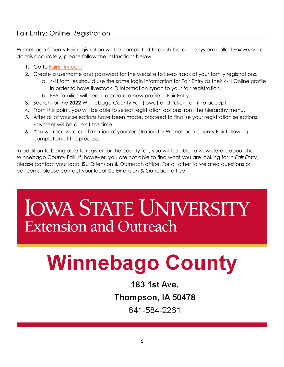Winnebago County Fair registration will be completed through the online system called *Fair Entry*. To do this accurately, please follow the instructions below:

- 1. Go to [FairEntry.com](https://www.fairentry.com/)
- 2. Create a username and password for the website to keep track of your family registrations.
	- a. 4-H families should use the same login information for Fair Entry as their 4-H Online profile in order to have livestock ID information synch to your fair registration.
	- b. FFA families will need to create a new profile in Fair Entry.
- 3. Search for the **2022** Winnebago County Fair (Iowa) and "click" on it to accept.
- 4. From this point, you will be able to select registration options from the hierarchy menu.
- 5. After all of your selections have been made, proceed to finalize your registration selections. Payment will be due at this time.
- 6. You will receive a confirmation of your registration for Winnebago County Fair following completion of this process.

In addition to being able to register for the county fair, you will be able to view details about the Winnebago County Fair. If, however, you are not able to find what you are looking for in *Fair Entry*, please contact your local ISU Extension & Outreach office. For all other fair-related questions or concerns, please contact your local ISU Extension & Outreach office.

# **IOWA STATE UNIVERSITY Extension and Outreach**

# **Winnebago County**

183 1st Ave. Thompson, IA 50478 641-584-2261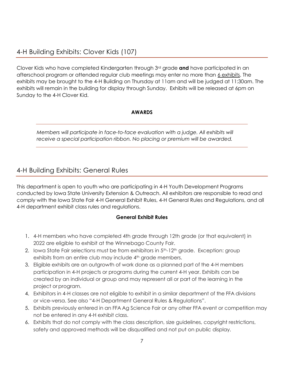Clover Kids who have completed Kindergarten through 3rd grade **and** have participated in an afterschool program or attended regular club meetings may enter no more than 6 exhibits. The exhibits may be brought to the 4-H Building on Thursday at 11am and will be judged at 11:30am. The exhibits will remain in the building for display through Sunday. Exhibits will be released at 6pm on Sunday to the 4-H Clover Kid.

### **AWARDS**

*Members will participate in face-to-face evaluation with a judge. All exhibits will receive a special participation ribbon. No placing or premium will be awarded.*

# 4-H Building Exhibits: General Rules

This department is open to youth who are participating in 4-H Youth Development Programs conducted by Iowa State University Extension & Outreach. All exhibitors are responsible to read and comply with the Iowa State Fair 4-H General Exhibit Rules, 4-H General Rules and Regulations, and all 4-H department exhibit class rules and regulations.

### **General Exhibit Rules**

- 1. 4-H members who have completed 4th grade through 12th grade (or that equivalent) in 2022 are eligible to exhibit at the Winnebago County Fair.
- 2. Iowa State Fair selections must be from exhibitors in  $5<sup>th-12<sup>th</sup></sup>$  grade. Exception: group exhibits from an entire club may include 4<sup>th</sup> grade members.
- 3. Eligible exhibits are an outgrowth of work done as a planned part of the 4-H members participation in 4-H projects or programs during the current 4-H year. Exhibits can be created by an individual or group and may represent all or part of the learning in the project or program.
- 4. Exhibitors in 4-H classes are not eligible to exhibit in a similar department of the FFA divisions or vice-versa. See also "4-H Department General Rules & Regulations".
- 5. Exhibits previously entered in an FFA Ag Science Fair or any other FFA event or competition may not be entered in any 4-H exhibit class.
- 6. Exhibits that do not comply with the class description, size guidelines, copyright restrictions, safety and approved methods will be disqualified and not put on public display.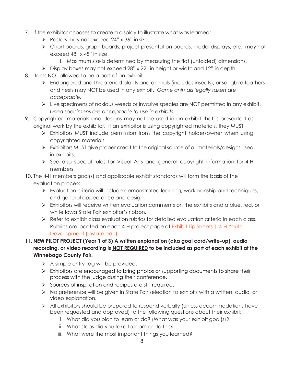- 7. If the exhibitor chooses to create a display to illustrate what was learned:
	- ➢ Posters may not exceed 24" x 36" in size.
	- ➢ Chart boards, graph boards, project presentation boards, model displays, etc., may not exceed 48" x 48" in size.
		- i. Maximum size is determined by measuring the flat (unfolded) dimensions.
	- ➢ Display boxes may not exceed 28" x 22" in height or width and 12" in depth.
- 8. Items NOT allowed to be a part of an exhibit
	- ➢ Endangered and threatened plants and animals (includes insects), or songbird feathers and nests may NOT be used in any exhibit. *Game animals legally taken are acceptable.*
	- ➢ Live specimens of noxious weeds or invasive species are NOT permitted in any exhibit. *Dried specimens are acceptable to use in exhibits.*
- 9. Copyrighted materials and designs may not be used in an exhibit that is presented as original work by the exhibitor. If an exhibitor is using copyrighted materials, they MUST
	- ➢ Exhibitors MUST include permission from the copyright holder/owner when using copyrighted materials.
	- ➢ Exhibitors MUST give proper credit to the original source of all materials/designs used in exhibits.
	- ➢ See also special rules for Visual Arts and general copyright information for 4-H members.
- 10. The 4-H members goal(s) and applicable exhibit standards will form the basis of the evaluation process.
	- ➢ Evaluation criteria will include demonstrated learning, workmanship and techniques, and general appearance and design.
	- $\triangleright$  Exhibitors will receive written evaluation comments on the exhibits and a blue, red, or white Iowa State Fair exhibitor's ribbon.
	- ➢ Refer to exhibit class evaluation rubrics for detailed evaluation criteria in each class. Rubrics are located on each 4-H project page at **Exhibit Tip Sheets | 4-H Youth** [Development \(iastate.edu\)](https://www.extension.iastate.edu/4h/exhibit-tip-sheets)

### 11. **NEW PILOT PROJECT (Year 1 of 3) A written explanation (aka goal card/write-up), audio recording, or video recording is NOT REQUIRED to be included as part of each exhibit at the Winnebago County Fair.**

- $\triangleright$  A simple entry tag will be provided.
- ➢ Exhibitors are encouraged to bring photos or supporting documents to share their process with the judge during their conference.
- ➢ Sources of inspiration and recipes are still required.
- ➢ No preference will be given in State Fair selection to exhibits with a written, audio, or video explanation.
- ➢ All exhibitors should be prepared to respond verbally (unless accommodations have been requested and approved) to the following questions about their exhibit:
	- i. What did you plan to learn or do? (What was your exhibit goal(s)?)
	- ii. What steps did you take to learn or do this?
	- iii. What were the most important things you learned?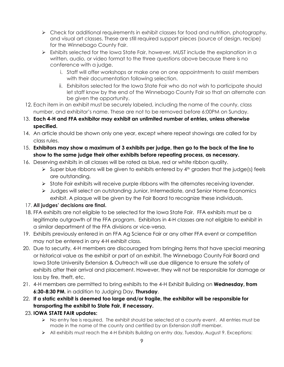- $\triangleright$  Check for additional requirements in exhibit classes for food and nutrition, photography, and visual art classes. These are still required support pieces (source of design, recipe) for the Winnebago County Fair.
- ➢ Exhibits selected for the Iowa State Fair, however, MUST include the explanation in a written, audio, or video format to the three questions above because there is no conference with a judge.
	- i. Staff will offer workshops or make one on one appointments to assist members with their documentation following selection.
	- ii. Exhibitors selected for the Iowa State Fair who do not wish to participate should let staff know by the end of the Winnebago County Fair so that an alternate can be given the opportunity.
- 12. Each item in an exhibit must be securely labeled, including the name of the county, class number, and exhibitor's name. These are not to be removed before 6:00PM on Sunday.
- 13. **Each 4-H and FFA exhibitor may exhibit an unlimited number of entries, unless otherwise specified.**
- 14. An article should be shown only one year, except where repeat showings are called for by class rules.
- 15. **Exhibitors may show a maximum of 3 exhibits per judge, then go to the back of the line to show to the same judge their other exhibits before repeating process, as necessary.**
- 16. Deserving exhibits in all classes will be rated as blue, red or white ribbon quality.
	- $\triangleright$  Super blue ribbons will be given to exhibits entered by  $4<sup>th</sup>$  graders that the judge(s) feels are outstanding.
	- ➢ State Fair exhibits will receive purple ribbons with the alternates receiving lavender.
	- ➢ Judges will select an outstanding Junior, Intermediate, and Senior Home Economics exhibit. A plaque will be given by the Fair Board to recognize these individuals.

### 17. **All judges' decisions are final.**

- 18. FFA exhibits are not eligible to be selected for the Iowa State Fair. FFA exhibits must be a legitimate outgrowth of the FFA program. Exhibitors in 4-H classes are not eligible to exhibit in a similar department of the FFA divisions or vice-versa.
- 19. Exhibits previously entered in an FFA Ag Science Fair or any other FFA event or competition may not be entered in any 4-H exhibit class.
- 20. Due to security, 4-H members are discouraged from bringing items that have special meaning or historical value as the exhibit or part of an exhibit. The Winnebago County Fair Board and Iowa State University Extension & Outreach will use due diligence to ensure the safety of exhibits after their arrival and placement. However, they will not be responsible for damage or loss by fire, theft, etc.
- 21. 4-H members are permitted to bring exhibits to the 4-H Exhibit Building on **Wednesday, from 6:30-8:30 PM**, in addition to Judging Day, **Thursday**.
- 22. **If a static exhibit is deemed too large and/or fragile, the exhibitor will be responsible for transporting the exhibit to State Fair, if necessary.**
- 23. **IOWA STATE FAIR updates:**
	- $\triangleright$  No entry fee is required. The exhibit should be selected at a county event. All entries must be made in the name of the county and certified by an Extension staff member.
	- ➢ All exhibits must reach the 4-H Exhibits Building on entry day, Tuesday, August 9. Exceptions: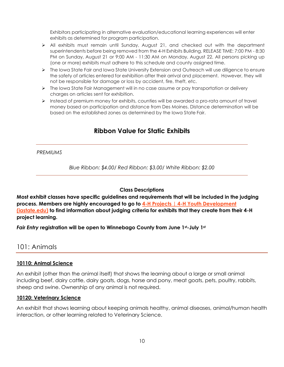Exhibitors participating in alternative evaluation/educational learning experiences will enter exhibits as determined for program participation.

- ➢ All exhibits must remain until Sunday, August 21, and checked out with the department superintendents before being removed from the 4-H Exhibits Building. RELEASE TIME: 7:00 PM - 8:30 PM on Sunday, August 21 or 9:00 AM - 11:30 AM on Monday, August 22. All persons picking up (one or more) exhibits must adhere to this schedule and county assigned time.
- ➢ The Iowa State Fair and Iowa State University Extension and Outreach will use diligence to ensure the safety of articles entered for exhibition after their arrival and placement. However, they will not be responsible for damage or loss by accident, fire, theft, etc.
- ➢ The Iowa State Fair Management will in no case assume or pay transportation or delivery charges on articles sent for exhibition.
- ➢ Instead of premium money for exhibits, counties will be awarded a pro-rata amount of travel money based on participation and distance from Des Moines. Distance determination will be based on the established zones as determined by the Iowa State Fair.

# **Ribbon Value for Static Exhibits**

*PREMIUMS* 

*Blue Ribbon: \$4.00*/ *Red Ribbon: \$3.00/ White Ribbon: \$2.00*

### **Class Descriptions**

**Most exhibit classes have specific guidelines and requirements that will be included in the judging process. Members are highly encouraged to go to [4-H Projects | 4-H Youth Development](https://www.extension.iastate.edu/4h/projects-list)  [\(iastate.edu\)](https://www.extension.iastate.edu/4h/projects-list) to find information about judging criteria for exhibits that they create from their 4-H project learning.**

*Fair Entry* **registration will be open to Winnebago County from June 1st-July 1st**

### 101: Animals

### **10110: Animal Science**

An exhibit (other than the animal itself) that shows the learning about a large or small animal including beef, dairy cattle, dairy goats, dogs, horse and pony, meat goats, pets, poultry, rabbits, sheep and swine. Ownership of any animal is not required.

### **10120: Veterinary Science**

An exhibit that shows learning about keeping animals healthy, animal diseases, animal/human health interaction, or other learning related to Veterinary Science.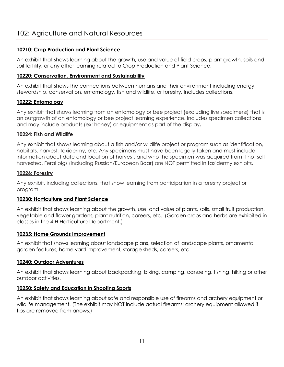### **10210: Crop Production and Plant Science**

An exhibit that shows learning about the growth, use and value of field crops, plant growth, soils and soil fertility, or any other learning related to Crop Production and Plant Science.

### **10220: Conservation, Environment and Sustainability**

An exhibit that shows the connections between humans and their environment including energy, stewardship, conservation, entomology, fish and wildlife, or forestry. Includes collections.

### **10222: Entomology**

Any exhibit that shows learning from an entomology or bee project (excluding live specimens) that is an outgrowth of an entomology or bee project learning experience. Includes specimen collections and may include products (ex: honey) or equipment as part of the display**.**

### **10224: Fish and Wildlife**

Any exhibit that shows learning about a fish and/or wildlife project or program such as identification, habitats, harvest, taxidermy, etc. Any specimens must have been legally taken and must include information about date and location of harvest, and who the specimen was acquired from if not selfharvested. Feral pigs (including Russian/European Boar) are NOT permitted in taxidermy exhibits.

### **10226: Forestry**

Any exhibit, including collections, that show learning from participation in a forestry project or program.

### **10230: Horticulture and Plant Science**

An exhibit that shows learning about the growth, use, and value of plants, soils, small fruit production, vegetable and flower gardens, plant nutrition, careers, etc. (Garden crops and herbs are exhibited in classes in the 4-H Horticulture Department.)

### **10235: Home Grounds Improvement**

An exhibit that shows learning about landscape plans, selection of landscape plants, ornamental garden features, home yard improvement, storage sheds, careers, etc.

### **10240: Outdoor Adventures**

An exhibit that shows learning about backpacking, biking, camping, canoeing, fishing, hiking or other outdoor activities.

### **10250: Safety and Education in Shooting Sports**

An exhibit that shows learning about safe and responsible use of firearms and archery equipment or wildlife management. (The exhibit may NOT include actual firearms; archery equipment allowed if tips are removed from arrows.)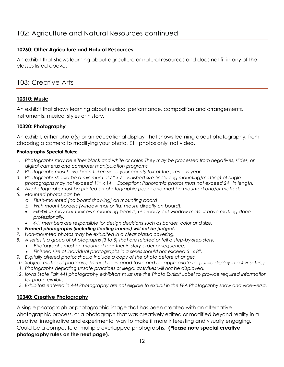### **10260: Other Agriculture and Natural Resources**

An exhibit that shows learning about agriculture or natural resources and does not fit in any of the classes listed above.

# 103: Creative Arts

### **10310: Music**

An exhibit that shows learning about musical performance, composition and arrangements, instruments, musical styles or history.

### **10320: Photography**

An exhibit, either photo(s) or an educational display, that shows learning about photography, from choosing a camera to modifying your photo. Still photos only, not video.

### **Photography Special Rules:**

- *1. Photographs may be either black and white or color. They may be processed from negatives, slides, or digital cameras and computer manipulation programs.*
- *2. Photographs must have been taken since your county fair of the previous year.*
- *3. Photographs should be a minimum of 5" x 7". Finished size (including mounting/matting) of single photographs may not exceed 11" x 14". Exception: Panoramic photos must not exceed 24" in length.*
- *4. All photographs must be printed on photographic paper and must be mounted and/or matted.*
- *5. Mounted photos can be* 
	- *a. Flush-mounted [no board showing] on mounting board*
	- *b. With mount borders [window mat or flat mount directly on board].*
	- *Exhibitors may cut their own mounting boards, use ready-cut window mats or have matting done professionally.*
	- *4-H members are responsible for design decisions such as border, color and size.*
- *6. Framed photographs (including floating frames) will not be judged.*
- *7. Non-mounted photos may be exhibited in a clear plastic covering.*
- *8. A series is a group of photographs [3 to 5] that are related or tell a step-by-step story.*
	- *Photographs must be mounted together in story order or sequence.*
	- *Finished size of individual photographs in a series should not exceed 6" x 8".*
- *9. Digitally altered photos should include a copy of the photo before changes.*
- *10. Subject matter of photographs must be in good taste and be appropriate for public display in a 4-H setting.*
- *11. Photographs depicting unsafe practices or illegal activities will not be displayed.*
- *12. Iowa State Fair 4-H photography exhibitors must use the Photo Exhibit Label to provide required information for photo exhibits.*
- *13. Exhibitors entered in 4-H Photography are not eligible to exhibit in the FFA Photography show and vice-versa.*

### **10340: Creative Photography**

A single photograph or photographic image that has been created with an alternative photographic process, or a photograph that was creatively edited or modified beyond reality in a creative, imaginative and experimental way to make it more interesting and visually engaging. Could be a composite of multiple overlapped photographs. **(Please note special creative photography rules on the next page).**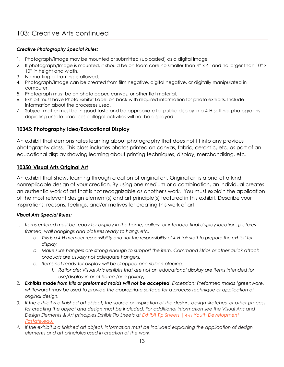### *Creative Photography Special Rules:*

- 1. Photograph/image may be mounted or submitted (uploaded) as a digital image
- 2. If photograph/Image is mounted, it should be on foam core no smaller than 4" x 4" and no larger than 10" x 10" in height and width.
- 3. No matting or framing is allowed.
- 4. Photograph/Image can be created from film negative, digital negative, or digitally manipulated in computer.
- 5. Photograph must be on photo paper, canvas, or other flat material.
- 6. Exhibit must have Photo Exhibit Label on back with required information for photo exhibits. Include information about the processes used.
- 7. Subject matter must be in good taste and be appropriate for public display in a 4-H setting, photographs depicting unsafe practices or illegal activities will not be displayed.

### **10345: Photography Idea/Educational Display**

An exhibit that demonstrates learning about photography that does not fit into any previous photography class. This class includes photos printed on canvas, fabric, ceramic, etc. as part of an educational display showing learning about printing techniques, display, merchandising, etc.

### **10350 Visual Arts Original Art**

An exhibit that shows learning through creation of original art. Original art is a one-of-a-kind, nonreplicable design of your creation. By using one medium or a combination, an individual creates an authentic work of art that is not recognizable as another's work. You must explain the application of the most relevant design element(s) and art principle(s) featured in this exhibit. Describe your inspirations, reasons, feelings, and/or motives for creating this work of art.

### *Visual Arts Special Rules:*

- *1. Items entered must be ready for display in the home, gallery, or intended final display location: pictures framed, wall hangings and pictures ready to hang, etc.* 
	- *a. This is a 4-H member responsibility and not the responsibility of 4-H fair staff to prepare the exhibit for display.*
	- *b. Make sure hangers are strong enough to support the item. Command Strips or other quick attach products are usually not adequate hangers.*
	- *c. Items not ready for display will be dropped one ribbon placing.*
		- *i. Rationale: Visual Arts exhibits that are not an educational display are items intended for use/display in or at home (or a gallery).*
- *2. Exhibits made from kits or preformed molds will not be accepted. Exception: Preformed molds (greenware,*  whiteware) may be used to provide the appropriate surface for a process technique or application of *original design.*
- *3. If the exhibit is a finished art object, the source or inspiration of the design, design sketches, or other process for creating the object and design must be included. For additional information see the Visual Arts and Design Elements & Art principles Exhibit Tip Sheets at [Exhibit Tip Sheets | 4-H Youth Development](https://www.extension.iastate.edu/4h/exhibit-tip-sheets)  [\(iastate.edu\)](https://www.extension.iastate.edu/4h/exhibit-tip-sheets)*
- *4. If the exhibit is a finished art object, information must be included explaining the application of design elements and art principles used in creation of the work.*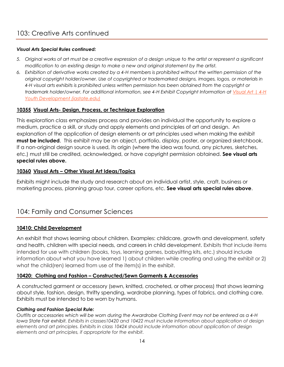### *Visual Arts Special Rules continued:*

- *5. Original works of art must be a creative expression of a design unique to the artist or represent a significant modification to an existing design to make a new and original statement by the artist.*
- *6. Exhibition of derivative works created by a 4-H members is prohibited without the written permission of the original copyright holder/owner. Use of copyrighted or trademarked designs, images, logos, or materials in 4-H visual arts exhibits is prohibited unless written permission has been obtained from the copyright or trademark holder/owner. For additional information, see 4-H Exhibit Copyright Information at [Visual Art | 4-H](https://www.extension.iastate.edu/4h/visual-art)  [Youth Development \(iastate.edu\)](https://www.extension.iastate.edu/4h/visual-art)*

### **10355 Visual Arts- Design, Process, or Technique Exploration**

This exploration class emphasizes process and provides an individual the opportunity to explore a medium, practice a skill, or study and apply elements and principles of art and design. An explanation of the application of design elements or art principles used when making the exhibit **must be included**. This exhibit may be an object, portfolio, display, poster, or organized sketchbook. If a non-original design source is used, its origin (where the idea was found, any pictures, sketches, etc.) must still be credited, acknowledged, or have copyright permission obtained. **See visual arts special rules above.**

### **10360 Visual Arts – Other Visual Art Ideas/Topics**

Exhibits might include the study and research about an individual artist, style, craft, business or marketing process, planning group tour, career options, etc. **See visual arts special rules above**.

# 104: Family and Consumer Sciences

### **10410: Child Development**

An exhibit that shows learning about children. Examples: childcare, growth and development, safety and health, children with special needs, and careers in child development. Exhibits that include items intended for use with children (books, toys, learning games, babysitting kits, etc.) should include information about what you have learned 1) about children while creating and using the exhibit or 2) what the child(ren) learned from use of the item(s) in the exhibit.

### **10420: Clothing and Fashion – Constructed/Sewn Garments & Accessories**

A constructed garment or accessory (sewn, knitted, crocheted, or other process) that shows learning about style, fashion, design, thrifty spending, wardrobe planning, types of fabrics, and clothing care. Exhibits must be intended to be worn by humans.

### *Clothing and Fashion Special Rule:*

*Outfits or accessories which will be worn during the Awardrobe Clothing Event may not be entered as a 4-H Iowa State Fair exhibit. Exhibits in classes10420 and 10422 must include information about application of design elements and art principles. Exhibits in class 10424 should include information about application of design elements and art principles, if appropriate for the exhibit.*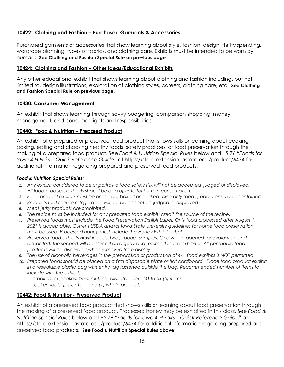### **10422: Clothing and Fashion – Purchased Garments & Accessories**

Purchased garments or accessories that show learning about style, fashion, design, thrifty spending, wardrobe planning, types of fabrics, and clothing care. Exhibits must be intended to be worn by humans. **See Clothing and Fashion Special Rule on previous page.**

### **10424: Clothing and Fashion – Other Ideas/Educational Exhibits**

Any other educational exhibit that shows learning about clothing and fashion including, but not limited to, design illustrations, exploration of clothing styles, careers, clothing care, etc. **See Clothing and Fashion Special Rule on previous page.**

### **10430: Consumer Management**

An exhibit that shows learning through savvy budgeting, comparison shopping, money management, and consumer rights and responsibilities.

### **10440: Food & Nutrition – Prepared Product**

An exhibit of a prepared or preserved food product that shows skills or learning about cooking, baking, eating and choosing healthy foods, safety practices, or food preservation through the making of a prepared food product. See *Food & Nutrition Special Rules* below and HS 76 *"Foods for Iowa 4-H Fairs – Quick Reference Guide"* at<https://store.extension.iastate.edu/product/6434> for additional information regarding prepared and preserved food products.

#### *Food & Nutrition Special Rules:*

- *1. Any exhibit considered to be or portray a food safety risk will not be accepted, judged or displayed.*
- *2. All food products/exhibits should be appropriate for human consumption.*
- *3. Food product exhibits must be prepared, baked or cooked using only food grade utensils and containers.*
- *4. Products that require refrigeration will not be accepted, judged or displayed.*
- *5. Meat jerky products are prohibited.*
- *6. The recipe must be included for any prepared food exhibit; credit the source of the recipe.*
- *7. Preserved foods must include the Food Preservation Exhibit Label. Only food processed after August 1, 2021 is acceptable. Current USDA and/or Iowa State University guidelines for home food preservation must be used. Processed honey must include the Honey Exhibit Label.*
- *8. Preserved food exhibits must include two product samples. One will be opened for evaluation and discarded; the second will be placed on display and returned to the exhibitor. All perishable food products will be discarded when removed from display.*
- *9. The use of alcoholic beverages in the preparation or production of 4-H food exhibits is NOT permitted.*
- 10. Prepared foods should be placed on a firm disposable plate or flat cardboard. Place food product exhibit *in a resealable plastic bag with entry tag fastened outside the bag. Recommended number of items to include with the exhibit:*

*Cookies, cupcakes, bars, muffins, rolls, etc. – four (4) to six (6) items Cakes, loafs, pies, etc. – one (1) whole product.*

### **10442: Food & Nutrition- Preserved Product**

An exhibit of a preserved food product that shows skills or learning about food preservation through the making of a preserved food product. Processed honey may be exhibited in this class. See *Food & Nutrition Special Rules* below and HS 76 *"Foods for Iowa 4-H Fairs – Quick Reference Guide"* at <https://store.extension.iastate.edu/product/6434> for additional information regarding prepared and preserved food products. **See Food & Nutrition Special Rules above**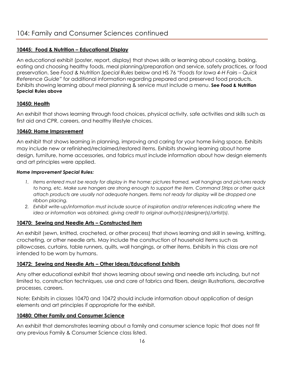### **10445: Food & Nutrition – Educational Display**

An educational exhibit (poster, report, display) that shows skills or learning about cooking, baking, eating and choosing healthy foods, meal planning/preparation and service, safety practices, or food preservation. See *Food & Nutrition Special Rules* below and HS 76 *"Foods for Iowa 4-H Fairs – Quick Reference Guide"* for additional information regarding prepared and preserved food products. Exhibits showing learning about meal planning & service must include a menu. **See Food & Nutrition Special Rules above**

### **10450: Health**

An exhibit that shows learning through food choices, physical activity, safe activities and skills such as first aid and CPR, careers, and healthy lifestyle choices.

### **10460: Home Improvement**

An exhibit that shows learning in planning, improving and caring for your home living space. Exhibits may include new or refinished/reclaimed/restored items. Exhibits showing learning about home design, furniture, home accessories, and fabrics must include information about how design elements and art principles were applied.

### *Home Improvement Special Rules:*

- *1. Items entered must be ready for display in the home: pictures framed, wall hangings and pictures ready to hang, etc. Make sure hangers are strong enough to support the item. Command Strips or other quick attach products are usually not adequate hangers. Items not ready for display will be dropped one ribbon placing.*
- *2. Exhibit write-up/information must include source of inspiration and/or references indicating where the idea or information was obtained, giving credit to original author(s)/designer(s)/artist(s).*

### **10470: Sewing and Needle Arts – Constructed item**

An exhibit (sewn, knitted, crocheted, or other process) that shows learning and skill in sewing, knitting, crocheting, or other needle arts. May include the construction of household items such as pillowcases, curtains, table runners, quilts, wall hangings, or other items. Exhibits in this class are not intended to be worn by humans.

### **10472: Sewing and Needle Arts – Other Ideas/Educational Exhibits**

Any other educational exhibit that shows learning about sewing and needle arts including, but not limited to, construction techniques, use and care of fabrics and fibers, design illustrations, decorative processes, careers.

Note: Exhibits in classes 10470 and 10472 should include information about application of design elements and art principles if appropriate for the exhibit.

### **10480: Other Family and Consumer Science**

An exhibit that demonstrates learning about a family and consumer science topic that does not fit any previous Family & Consumer Science class listed.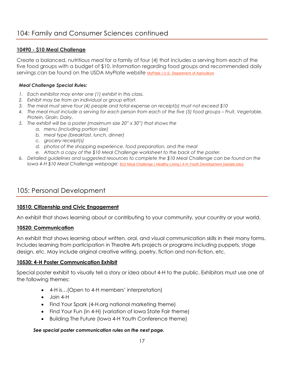### **10490 - \$10 Meal Challenge**

Create a balanced, nutritious meal for a family of four (4) that includes a serving from each of the five food groups with a budget of \$10. Information regarding food groups and recommended daily servings can be found on the USDA MyPlate website [MyPlate | U.S. Department of Agriculture](https://www.myplate.gov/)

### *Meal Challenge Special Rules:*

- *1. Each exhibitor may enter one (1) exhibit in this class.*
- *2. Exhibit may be from an individual or group effort.*
- *3. The meal must serve four (4) people and total expense on receipt(s) must not exceed \$10*
- *4. The meal must include a serving for each person from each of the five (5) food groups – Fruit, Vegetable, Protein, Grain, Dairy.*
- *5. The exhibit will be a poster (maximum size 20" x 30") that shows the* 
	- *a. menu (including portion size)*
	- *b. meal type (breakfast, lunch, dinner)*
	- *c. grocery receipt(s)*
	- *d. photos of the shopping experience, food preparation, and the meal*
	- *e. Attach a copy of the \$10 Meal Challenge worksheet to the back of the poster.*
- *6. Detailed guidelines and suggested resources to complete the \$10 Meal Challenge can be found on the Iowa 4-H \$10 Meal Challenge webpage:* [\\$10 Meal Challenge | Healthy Living | 4-H Youth Development \(iastate.edu\)](https://www.extension.iastate.edu/4h/10-meal-challenge-healthy-living)

# 105: Personal Development

### **10510: Citizenship and Civic Engagement**

An exhibit that shows learning about or contributing to your community, your country or your world.

### **10520: Communication**

An exhibit that shows learning about written, oral, and visual communication skills in their many forms. Includes learning from participation in Theatre Arts projects or programs including puppets, stage design, etc. May include original creative writing, poetry, fiction and non-fiction, etc.

### **10530: 4-H Poster Communication Exhibit**

Special poster exhibit to visually tell a story or idea about 4-H to the public. Exhibitors must use one of the following themes:

- 4-H is…(Open to 4-H members' interpretation)
- Join 4-H
- Find Your Spark (4-H.org national marketing theme)
- Find Your Fun (in 4-H) (variation of lowa State Fair theme)
- Building The Future (Iowa 4-H Youth Conference theme)

### *See special poster communication rules on the next page.*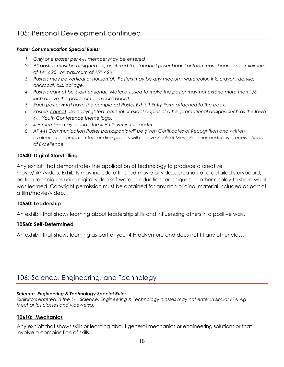#### *Poster Communication Special Rules:*

- *1. Only one poster per 4-H member may be entered*
- *2. All posters must be designed on, or affixed to, standard poser board or foam core board - size minimum of 14" x 20" or maximum of 15" x 20"*
- *3. Posters may be vertical or horizontal. Posters may be any medium: watercolor, ink, crayon, acrylic, charcoal, oils, collage.*
- *4. Posters cannot be 3-dimensional. Materials used to make the poster may not extend more than 1/8 inch above the poster or foam core board.*
- *5. Each poster must have the completed Poster Exhibit Entry Form attached to the back.*
- *6. Posters cannot use copyrighted material or exact copies of other promotional designs, such as the Iowa 4-H Youth Conference theme logo.*
- *7. 4-H member may include the 4-H Clover in the poster.*
- *8. All 4-H Communication Poster participants will be given Certificates of Recognition and written evaluation comments. Outstanding posters will receive Seals of Merit. Superior posters will receive Seals of Excellence.*

### **10540: Digital Storytelling**

Any exhibit that demonstrates the application of technology to produce a creative movie/film/video. Exhibits may include a finished movie or video, creation of a detailed storyboard, editing techniques using digital video software, production techniques, or other display to share what was learned. Copyright permission must be obtained for any non-original material included as part of a film/movie/video.

### **10550: Leadership**

An exhibit that shows learning about leadership skills and influencing others in a positive way.

### **10560: Self-Determined**

An exhibit that shows learning as part of your 4-H adventure and does not fit any other class.

# 106: Science, Engineering, and Technology

#### *Science, Engineering & Technology Special Rule:*

*Exhibitors entered in the 4-H Science, Engineering & Technology classes may not enter in similar FFA Ag Mechanics classes and vice-versa.*

### **10610: Mechanics**

Any exhibit that shows skills or learning about general mechanics or engineering solutions or that involve a combination of skills.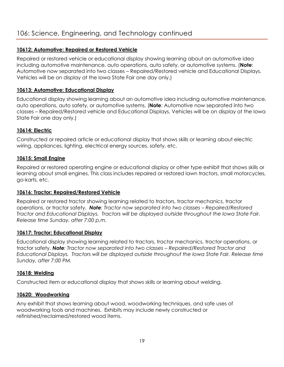### **10612: Automotive: Repaired or Restored Vehicle**

Repaired or restored vehicle or educational display showing learning about an automotive idea including automotive maintenance, auto operations, auto safety, or automotive systems. (**Note**: Automotive now separated into two classes – Repaired/Restored vehicle and Educational Displays. Vehicles will be on display at the Iowa State Fair one day only.)

### **10613: Automotive: Educational Display**

Educational display showing learning about an automotive idea including automotive maintenance, auto operations, auto safety, or automotive systems. (**Note**: Automotive now separated into two classes – Repaired/Restored vehicle and Educational Displays. Vehicles will be on display at the Iowa State Fair one day only.)

### **10614: Electric**

Constructed or repaired article or educational display that shows skills or learning about electric wiring, appliances, lighting, electrical energy sources, safety, etc.

### **10615: Small Engine**

Repaired or restored operating engine or educational display or other type exhibit that shows skills or learning about small engines. This class includes repaired or restored lawn tractors, small motorcycles, go-karts, etc.

### **10616: Tractor: Repaired/Restored Vehicle**

Repaired or restored tractor showing learning related to tractors, tractor mechanics, tractor operations, or tractor safety. *Note: Tractor now separated into two classes – Repaired/Restored Tractor and Educational Displays. Tractors will be displayed outside throughout the Iowa State Fair. Release time Sunday, after 7:00 p.m.*

### **10617: Tractor: Educational Display**

Educational display showing learning related to tractors, tractor mechanics, tractor operations, or tractor safety. *Note: Tractor now separated into two classes – Repaired/Restored Tractor and Educational Displays. Tractors will be displayed outside throughout the Iowa State Fair. Release time Sunday, after 7:00 PM.*

### **10618: Welding**

Constructed item or educational display that shows skills or learning about welding.

### **10620: Woodworking**

Any exhibit that shows learning about wood, woodworking techniques, and safe uses of woodworking tools and machines. Exhibits may include newly constructed or refinished/reclaimed/restored wood items.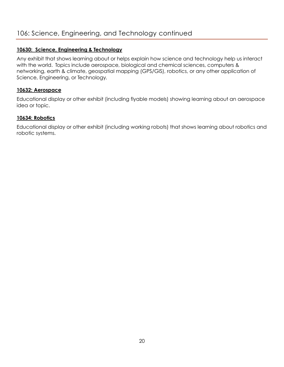### **10630: Science, Engineering & Technology**

Any exhibit that shows learning about or helps explain how science and technology help us interact with the world. Topics include aerospace, biological and chemical sciences, computers & networking, earth & climate, geospatial mapping (GPS/GIS), robotics, or any other application of Science, Engineering, or Technology.

### **10632: Aerospace**

Educational display or other exhibit (including flyable models) showing learning about an aerospace idea or topic.

### **10634: Robotics**

Educational display or other exhibit (including working robots) that shows learning about robotics and robotic systems.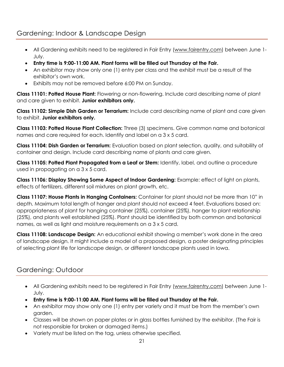# Gardening: Indoor & Landscape Design

- All Gardening exhibits need to be registered in Fair Entry [\(www.fairentry.com\)](http://www.fairentry.com/) between June 1- July.
- **Entry time is 9:00-11:00 AM. Plant forms will be filled out Thursday at the Fair.**
- An exhibitor may show only one (1) entry per class and the exhibit must be a result of the exhibitor's own work.
- Exhibits may not be removed before 6:00 PM on Sunday.

**Class 11101: Potted House Plant:** Flowering or non-flowering. Include card describing name of plant and care given to exhibit. **Junior exhibitors only.**

**Class 11102: Simple Dish Garden or Terrarium:** Include card describing name of plant and care given to exhibit. **Junior exhibitors only.**

**Class 11103: Potted House Plant Collection:** Three (3) specimens. Give common name and botanical names and care required for each. Identify and label on a 3 x 5 card.

**Class 11104: Dish Garden or Terrarium:** Evaluation based on plant selection, quality, and suitability of container and design. Include card describing name of plants and care given.

**Class 11105: Potted Plant Propagated from a Leaf or Stem:** Identify, label, and outline a procedure used in propagating on a 3 x 5 card.

**Class 11106: Display Showing Some Aspect of Indoor Gardening:** Example: effect of light on plants, effects of fertilizers, different soil mixtures on plant growth, etc.

**Class 11107: House Plants in Hanging Containers:** Container for plant should not be more than 10" in depth. Maximum total length of hanger and plant should not exceed 4 feet. Evaluations based on: appropriateness of plant for hanging container (25%), container (25%), hanger to plant relationship (25%), and plants well established (25%). Plant should be identified by both common and botanical names, as well as light and moisture requirements on a 3 x 5 card.

**Class 11108: Landscape Design:** An educational exhibit showing a member's work done in the area of landscape design. It might include a model of a proposed design, a poster designating principles of selecting plant life for landscape design, or different landscape plants used in Iowa.

# Gardening: Outdoor

- All Gardening exhibits need to be registered in Fair Entry [\(www.fairentry.com\)](http://www.fairentry.com/) between June 1- July.
- **Entry time is 9:00-11:00 AM. Plant forms will be filled out Thursday at the Fair.**
- An exhibitor may show only one (1) entry per variety and it must be from the member's own garden.
- Classes will be shown on paper plates or in glass bottles furnished by the exhibitor. (The Fair is not responsible for broken or damaged items.)
- Variety must be listed on the tag, unless otherwise specified.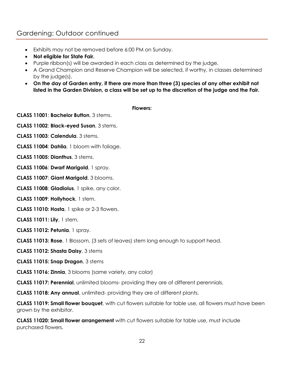# Gardening: Outdoor continued

- Exhibits may not be removed before 6:00 PM on Sunday.
- **Not eligible for State Fair.**
- Purple ribbon(s) will be awarded in each class as determined by the judge.
- A Grand Champion and Reserve Champion will be selected, if worthy, in classes determined by the judge(s).
- **On the day of Garden entry, if there are more than three (3) species of any other exhibit not listed in the Garden Division, a class will be set up to the discretion of the judge and the Fair.**

#### **Flowers:**

**CLASS 11001**: **Bachelor Button**, 3 stems.

- **CLASS 11002**: **Black-eyed Susan**, 3 stems.
- **CLASS 11003**: **Calendula**, 3 stems.
- **CLASS 11004**: **Dahlia**, 1 bloom with foliage.
- **CLASS 11005: Dianthus**, 3 stems.
- **CLASS 11006**: **Dwarf Marigold**, 1 spray.
- **CLASS 11007**: **Giant Marigold**, 3 blooms.
- **CLASS 11008**: **Gladiolus**, 1 spike, any color.
- **CLASS 11009**: **Hollyhock**, 1 stem.
- **CLASS 11010: Hosta**, 1 spike or 2-3 flowers.
- **CLASS 11011: Lily**, 1 stem.
- **CLASS 11012: Petunia**, 1 spray.
- **CLASS 11013: Rose**, 1 Blossom, (3 sets of leaves) stem long enough to support head.
- **CLASS 11012: Shasta Daisy**, 3 stems
- **CLASS 11015: Snap Dragon**, 3 stems
- **CLASS 11016: Zinnia**, 3 blooms (same variety, any color)

**CLASS 11017: Perennial**, unlimited blooms- providing they are of different perennials.

**CLASS 11018: Any annual**, unlimited- providing they are of different plants.

**CLASS 11019: Small flower bouquet**, with cut flowers suitable for table use, all flowers must have been grown by the exhibitor.

**CLASS 11020: Small flower arrangement** with cut flowers suitable for table use, must include purchased flowers.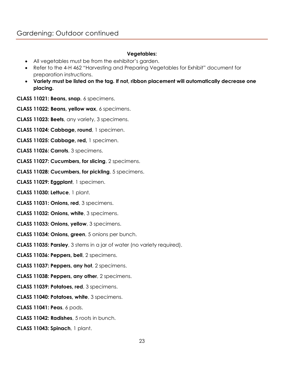### **Vegetables:**

- All vegetables must be from the exhibitor's garden.
- Refer to the 4-H 462 "Harvesting and Preparing Vegetables for Exhibit" document for preparation instructions.
- **Variety must be listed on the tag. If not, ribbon placement will automatically decrease one placing.**

**CLASS 11021: Beans, snap**, 6 specimens.

- **CLASS 11022: Beans, yellow wax**, 6 specimens.
- **CLASS 11023: Beets**, any variety, 3 specimens.
- **CLASS 11024: Cabbage, round**, 1 specimen.
- **CLASS 11025: Cabbage, red,** 1 specimen.
- **CLASS 11026: Carrots**, 3 specimens.
- **CLASS 11027: Cucumbers, for slicing**, 2 specimens.
- **CLASS 11028: Cucumbers, for pickling**, 5 specimens.
- **CLASS 11029: Eggplant**, 1 specimen.
- **CLASS 11030: Lettuce**, 1 plant.
- **CLASS 11031: Onions, red**, 3 specimens.
- **CLASS 11032: Onions, white**, 3 specimens.
- **CLASS 11033: Onions, yellow**, 3 specimens.
- **CLASS 11034: Onions, green**, 5 onions per bunch.
- **CLASS 11035: Parsley**, 3 stems in a jar of water (no variety required).
- **CLASS 11036: Peppers, bell**, 2 specimens.
- **CLASS 11037: Peppers, any hot**, 2 specimens.
- **CLASS 11038: Peppers, any other**, 2 specimens.
- **CLASS 11039: Potatoes, red**, 3 specimens.
- **CLASS 11040: Potatoes, white**, 3 specimens.
- **CLASS 11041: Peas**, 6 pods.
- **CLASS 11042: Radishes**, 5 roots in bunch.
- **CLASS 11043: Spinach**, 1 plant.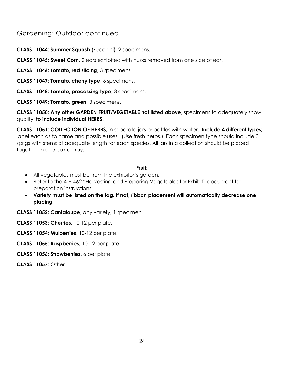# Gardening: Outdoor continued

**CLASS 11044: Summer Squash** (Zucchini), 2 specimens.

**CLASS 11045: Sweet Corn**, 2 ears exhibited with husks removed from one side of ear.

**CLASS 11046: Tomato, red slicing**, 3 specimens.

**CLASS 11047: Tomato, cherry type**, 6 specimens.

**CLASS 11048: Tomato, processing type**, 3 specimens.

**CLASS 11049: Tomato, green**, 3 specimens.

**CLASS 11050: Any other GARDEN FRUIT/VEGETABLE not listed above**, specimens to adequately show quality; **to include individual HERBS**.

**CLASS 11051: COLLECTION OF HERBS**, in separate jars or bottles with water. **Include 4 different types**; label each as to name and possible uses. (Use fresh herbs.) Each specimen type should include 3 sprigs with stems of adequate length for each species. All jars in a collection should be placed together in one box or tray.

### **Fruit:**

- All vegetables must be from the exhibitor's garden.
- Refer to the 4-H 462 "Harvesting and Preparing Vegetables for Exhibit" document for preparation instructions.
- **Variety must be listed on the tag. If not, ribbon placement will automatically decrease one placing.**

**CLASS 11052: Cantaloupe**, any variety, 1 specimen.

**CLASS 11053: Cherries**, 10-12 per plate.

**CLASS 11054: Mulberries**, 10-12 per plate.

**CLASS 11055: Raspberries**, 10-12 per plate

**CLASS 11056: Strawberries**, 6 per plate

**CLASS 11057**: Other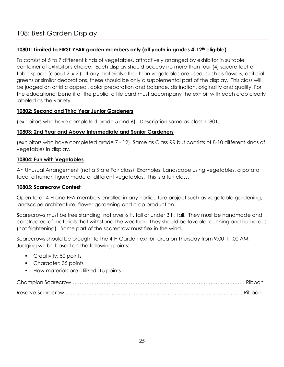### **10801: Limited to FIRST YEAR garden members only (all youth in grades 4-12th eligible).**

To consist of 5 to 7 different kinds of vegetables, attractively arranged by exhibitor in suitable container of exhibitor's choice. Each display should occupy no more than four (4) square feet of table space (about 2' x 2'). If any materials other than vegetables are used, such as flowers, artificial greens or similar decorations, these should be only a supplemental part of the display. This class will be judged on artistic appeal, color preparation and balance, distinction, originality and quality. For the educational benefit of the public, a file card must accompany the exhibit with each crop clearly labeled as the variety.

### **10802: Second and Third Year Junior Gardeners**

(exhibitors who have completed grade 5 and 6). Description same as class 10801.

### **10803: 2nd Year and Above Intermediate and Senior Gardeners**

(exhibitors who have completed grade 7 - 12). Same as Class RR but consists of 8-10 different kinds of vegetables in display.

### **10804: Fun with Vegetables**

An Unusual Arrangement (not a State Fair class). Examples: Landscape using vegetables, a potato face, a human figure made of different vegetables. This is a fun class.

### **10805: Scarecrow Contest**

Open to all 4-H and FFA members enrolled in any horticulture project such as vegetable gardening, landscape architecture, flower gardening and crop production.

Scarecrows must be free standing, not over 6 ft. tall or under 3 ft. tall. They must be handmade and constructed of materials that withstand the weather. They should be lovable, cunning and humorous (not frightening). Some part of the scarecrow must flex in the wind.

Scarecrows should be brought to the 4-H Garden exhibit area on Thursday from 9:00-11:00 AM. Judging will be based on the following points:

- Creativity: 50 points
- Character: 35 points
- How materials are utilized: 15 points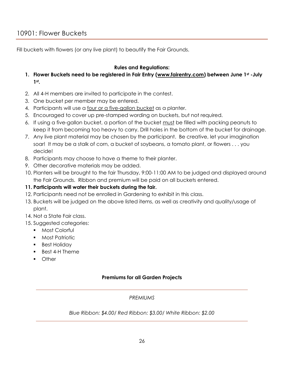Fill buckets with flowers (or any live plant) to beautify the Fair Grounds.

### **Rules and Regulations:**

- **1. Flower Buckets need to be registered in Fair Entry [\(www.fairentry.com\)](http://www.fairentry.com/) between June 1st -July 1st .**
- 2. All 4-H members are invited to participate in the contest.
- 3. One bucket per member may be entered.
- 4. Participants will use a four or a five-gallon bucket as a planter.
- 5. Encouraged to cover up pre-stamped wording on buckets, but not required.
- 6. If using a five-gallon bucket, a portion of the bucket must be filled with packing peanuts to keep it from becoming too heavy to carry. Drill holes in the bottom of the bucket for drainage.
- 7. Any live plant material may be chosen by the participant. Be creative, let your imagination soar! It may be a stalk of corn, a bucket of soybeans, a tomato plant, or flowers . . . you decide!
- 8. Participants may choose to have a theme to their planter.
- 9. Other decorative materials may be added.
- 10. Planters will be brought to the fair Thursday, 9:00-11:00 AM to be judged and displayed around the Fair Grounds. Ribbon and premium will be paid on all buckets entered.

### **11. Participants will water their buckets during the fair.**

- 12. Participants need not be enrolled in Gardening to exhibit in this class.
- 13. Buckets will be judged on the above listed items, as well as creativity and quality/usage of plant.
- 14. Not a State Fair class.
- 15. Suggested categories:
	- Most Colorful
	- Most Patriotic
	- **•** Best Holiday
	- Best 4-H Theme
	- Other

### **Premiums for all Garden Projects**

### *PREMIUMS*

*Blue Ribbon: \$4.00/ Red Ribbon: \$3.00/ White Ribbon: \$2.00*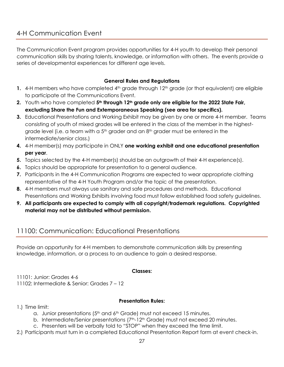The Communication Event program provides opportunities for 4-H youth to develop their personal communication skills by sharing talents, knowledge, or information with others. The events provide a series of developmental experiences for different age levels.

### **General Rules and Regulations**

- 1. 4-H members who have completed 4<sup>th</sup> grade through 12<sup>th</sup> grade (or that equivalent) are eligible to participate at the Communications Event.
- **2.** Youth who have completed **5th through 12th grade only are eligible for the 2022 State Fair, excluding Share the Fun and Extemporaneous Speaking (see area for specifics).**
- **3.** Educational Presentations and Working Exhibit may be given by one or more 4-H member. Teams consisting of youth of mixed grades will be entered in the class of the member in the highestgrade level (i.e. a team with a  $5<sup>th</sup>$  grader and an  $8<sup>th</sup>$  grader must be entered in the intermediate/senior class.)
- **4.** 4-H member(s) may participate in ONLY **one working exhibit and one educational presentation per year**.
- **5.** Topics selected by the 4-H member(s) should be an outgrowth of their 4-H experience(s).
- **6.** Topics should be appropriate for presentation to a general audience.
- **7.** Participants in the 4-H Communication Programs are expected to wear appropriate clothing representative of the 4-H Youth Program and/or the topic of the presentation.
- **8.** 4-H members must always use sanitary and safe procedures and methods. Educational Presentations and Working Exhibits involving food must follow established food safety guidelines.
- **9. All participants are expected to comply with all copyright/trademark regulations. Copyrighted material may not be distributed without permission.**

# 11100: Communication: Educational Presentations

Provide an opportunity for 4-H members to demonstrate communication skills by presenting knowledge, information, or a process to an audience to gain a desired response.

### **Classes:**

11101: Junior: Grades 4-6 11102: Intermediate & Senior: Grades 7 – 12

### **Presentation Rules:**

- 1.) Time limit:
	- a. Junior presentations  $5<sup>th</sup>$  and  $6<sup>th</sup>$  Grade) must not exceed 15 minutes.
	- b. Intermediate/Senior presentations (7<sup>th</sup>-12<sup>th</sup> Grade) must not exceed 20 minutes.
	- c. Presenters will be verbally told to "STOP" when they exceed the time limit.
- 2.) Participants must turn in a completed Educational Presentation Report form at event check-in.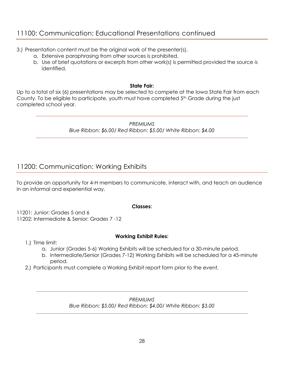# 11100: Communication: Educational Presentations continued

- 3.) Presentation content must be the original work of the presenter(s).
	- a. Extensive paraphrasing from other sources is prohibited.
	- b. Use of brief quotations or excerpts from other work(s) is permitted provided the source is identified.

### **State Fair:**

Up to a total of six (6) presentations may be selected to compete at the Iowa State Fair from each County. To be eligible to participate, youth must have completed  $5<sup>th</sup>$  Grade during the just completed school year.

> *PREMIUMS Blue Ribbon: \$6.00/ Red Ribbon: \$5.00/ White Ribbon: \$4.00*

# 11200: Communication: Working Exhibits

To provide an opportunity for 4-H members to communicate, interact with, and teach an audience in an informal and experiential way.

### **Classes:**

11201: Junior: Grades 5 and 6 11202: Intermediate & Senior: Grades 7 -12

### **Working Exhibit Rules:**

- 1.) Time limit:
	- a. Junior (Grades 5-6) Working Exhibits will be scheduled for a 30-minute period.
	- b. Intermediate/Senior (Grades 7-12) Working Exhibits will be scheduled for a 45-minute period.
- 2.) Participants must complete a Working Exhibit report form prior to the event.

*PREMIUMS Blue Ribbon: \$5.00/ Red Ribbon: \$4.00/ White Ribbon: \$3.00*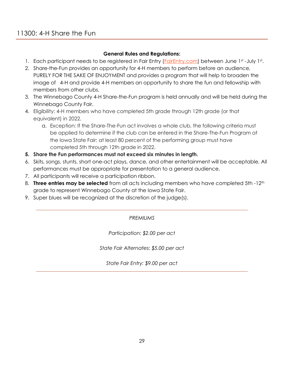### **General Rules and Regulations:**

- 1. Each participant needs to be registered in Fair Entry (*FairEntry.com*) between June 1st -July 1st.
- 2. Share-the-Fun provides an opportunity for 4-H members to perform before an audience, PURELY FOR THE SAKE OF ENJOYMENT and provides a program that will help to broaden the image of 4-H and provide 4-H members an opportunity to share the fun and fellowship with members from other clubs.
- 3. The Winnebago County 4-H Share-the-Fun program is held annually and will be held during the Winnebago County Fair.
- 4. Eligibility: 4-H members who have completed 5th grade through 12th grade (or that equivalent) in 2022.
	- a. Exception: If the Share-The-Fun act involves a whole club, the following criteria must be applied to determine if the club can be entered in the Share-The-Fun Program at the Iowa State Fair: at least 80 percent of the performing group must have completed 5th through 12th grade in 2022.
- **5. Share the Fun performances must not exceed six minutes in length.**
- 6. Skits, songs, stunts, short one-act plays, dance, and other entertainment will be acceptable. All performances must be appropriate for presentation to a general audience.
- 7. All participants will receive a participation ribbon.
- 8. **Three entries may be selected** from all acts including members who have completed 5th -12<sup>th</sup> grade to represent Winnebago County at the Iowa State Fair.
- 9. Super blues will be recognized at the discretion of the judge(s).

### *PREMIUMS*

*Participation: \$2.00 per act*

*State Fair Alternates: \$5.00 per act*

*State Fair Entry: \$9.00 per act*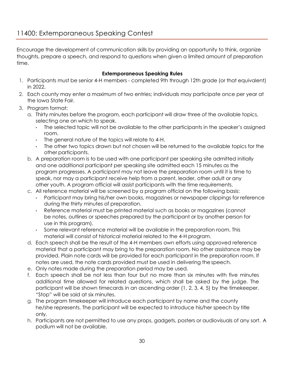Encourage the development of communication skills by providing an opportunity to think, organize thoughts, prepare a speech, and respond to questions when given a limited amount of preparation time.

### **Extemporaneous Speaking Rules**

- 1. Participants must be senior 4-H members completed 9th through 12th grade (or that equivalent) in 2022.
- 2. Each county may enter a maximum of two entries; individuals may participate once per year at the Iowa State Fair.
- 3. Program format:
	- a. Thirty minutes before the program, each participant will draw three of the available topics, selecting one on which to speak.
		- The selected topic will not be available to the other participants in the speaker's assigned room.
		- The general nature of the topics will relate to 4-H.
		- The other two topics drawn but not chosen will be returned to the available topics for the other participants.
	- b. A preparation room is to be used with one participant per speaking site admitted initially and one additional participant per speaking site admitted each 15 minutes as the program progresses. A participant may not leave the preparation room until it is time to speak, nor may a participant receive help from a parent, leader, other adult or any other youth. A program official will assist participants with the time requirements.
	- c. All reference material will be screened by a program official on the following basis:
		- Participant may bring his/her own books, magazines or newspaper clippings for reference during the thirty minutes of preparation.
		- Reference material must be printed material such as books or magazines (cannot be notes, outlines or speeches prepared by the participant or by another person for use in this program).
		- Some relevant reference material will be available in the preparation room. This material will consist of historical material related to the 4-H program.
	- d. Each speech shall be the result of the 4-H members own efforts using approved reference material that a participant may bring to the preparation room. No other assistance may be provided. Plain note cards will be provided for each participant in the preparation room. If notes are used, the note cards provided must be used in delivering the speech.
	- e. Only notes made during the preparation period may be used.
	- f. Each speech shall be not less than four but no more than six minutes with five minutes additional time allowed for related questions, which shall be asked by the judge. The participant will be shown timecards in an ascending order (1, 2, 3, 4, 5) by the timekeeper. "Stop" will be said at six minutes.
	- g. The program timekeeper will introduce each participant by name and the county he/she represents. The participant will be expected to introduce his/her speech by title only.
	- h. Participants are not permitted to use any props, gadgets, posters or audiovisuals of any sort. A podium will not be available.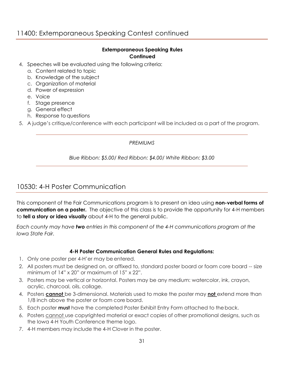# 11400: Extemporaneous Speaking Contest continued

### **Extemporaneous Speaking Rules Continued**

- 4. Speeches will be evaluated using the following criteria:
	- a. Content related to topic
	- b. Knowledge of the subject
	- c. Organization of material
	- d. Power of expression
	- e. Voice
	- f. Stage presence
	- g. General effect
	- h. Response to questions

5. A judge's critique/conference with each participant will be included as a part of the program.

### *PREMIUMS*

*Blue Ribbon: \$5.00/ Red Ribbon: \$4.00/ White Ribbon: \$3.00*

# 10530: 4-H Poster Communication

This component of the Fair Communications program is to present an idea using **non-verbal forms of communication on a poster.** The objective of this class is to provide the opportunity for 4-H members to **tell a story or idea visually** about 4-H to the general public.

*Each county may have two entries in this component of the 4-H communications program at the Iowa State Fair.*

### **4-H Poster Communication General Rules and Regulations:**

- 1. Only one poster per 4-H'er may be entered.
- 2. All posters must be designed on, or affixed to, standard poster board or foam core board -- size minimum of 14" x 20" or maximum of 15" x 22".
- 3. Posters may be vertical or horizontal. Posters may be any medium: watercolor, ink, crayon, acrylic, charcoal, oils, collage.
- 4. Posters **cannot** be 3-dimensional. Materials used to make the poster may **not** extend more than 1/8 inch above the poster or foam core board.
- 5. Each poster **must** have the completed Poster Exhibit Entry Form attached to theback.
- 6. Posters cannot use copyrighted material or exact copies of other promotional designs, such as the Iowa 4-H Youth Conference theme logo.
- 7. 4-H members may include the 4-H Clover in the poster.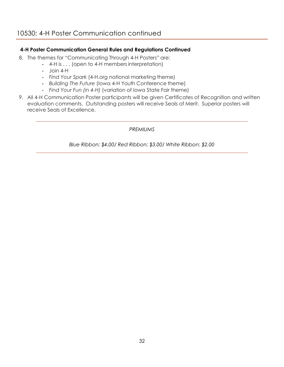### **4-H Poster Communication General Rules and Regulations Continued**

- 8. The themes for "Communicating Through 4-H Posters" are:
	- 4-H is . . . (open to 4-H membersinterpretation)
	- Join 4-H
	- *Find Your Spark* (4-H.org national marketing theme)
	- *Building The Future* (Iowa 4-H Youth Conference theme)
	- *Find Your Fun (in 4-H)* (variation of Iowa State Fair theme)
- 9. All 4-H Communication Poster participants will be given Certificates of Recognition and written evaluation comments. Outstanding posters will receive Seals of Merit. Superior posters will receive Seals of Excellence.

### *PREMIUMS*

*Blue Ribbon: \$4.00/ Red Ribbon: \$3.00/ White Ribbon: \$2.00*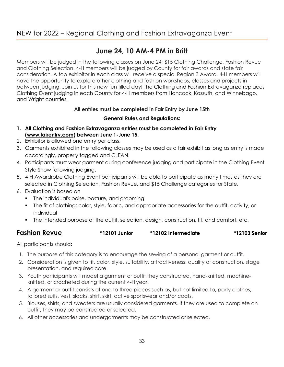# NEW for 2022 – Regional Clothing and Fashion Extravaganza Event

# **June 24, 10 AM-4 PM in Britt**

Members will be judged in the following classes on June 24; \$15 Clothing Challenge, Fashion Revue and Clothing Selection. 4-H members will be judged by County for fair awards and state fair consideration. A top exhibitor in each class will receive a special Region 3 Award. 4-H members will have the opportunity to explore other clothing and fashion workshops, classes and projects in between judging. Join us for this new fun filled day! The Clothing and Fashion Extravaganza replaces Clothing Event judging in each County for 4-H members from Hancock, Kossuth, and Winnebago, and Wright counties.

### **All entries must be completed in Fair Entry by June 15th**

### **General Rules and Regulations:**

- **1. All Clothing and Fashion Extravaganza entries must be completed in Fair Entry [\(www.fairentry.com\)](http://www.fairentry.com/) between June 1-June 15.**
- 2. Exhibitor is allowed one entry per class.
- 3. Garments exhibited in the following classes may be used as a fair exhibit as long as entry is made accordingly, properly tagged and CLEAN.
- 4. Participants must wear garment during conference judging and participate in the Clothing Event Style Show following judging.
- 5. 4-H Awardrobe Clothing Event participants will be able to participate as many times as they are selected in Clothing Selection, Fashion Revue, and \$15 Challenge categories for State.
- 6. Evaluation is based on
	- **•** The individual's poise, posture, and grooming
	- The fit of clothing: color, style, fabric, and appropriate accessories for the outfit, activity, or individual
	- The intended purpose of the outfit, selection, design, construction, fit, and comfort, etc.

### **Fashion Revue \*12101 Junior \*12102 Intermediate \*12103 Senior**

All participants should:

- 1. The purpose of this category is to encourage the sewing of a personal garment or outfit.
- 2. Consideration is given to fit, color, style, suitability, attractiveness, quality of construction, stage presentation, and required care.
- 3. Youth participants will model a garment or outfit they constructed, hand-knitted, machineknitted, or crocheted during the current 4-H year.
- 4. A garment or outfit consists of one to three pieces such as, but not limited to, party clothes, tailored suits, vest, slacks, shirt, skirt, active sportswear and/or coats.
- 5. Blouses, shirts, and sweaters are usually considered garments. If they are used to complete an outfit, they may be constructed or selected.
- 6. All other accessories and undergarments may be constructed or selected.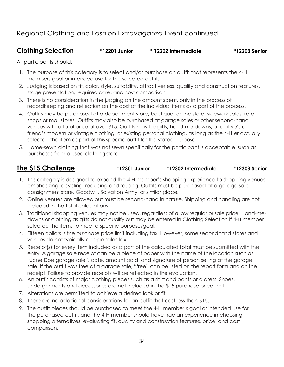### **Clothing Selection \*12201 Junior \* 12202 Intermediate \*12203 Senior**

All participants should:

- 1. The purpose of this category is to select and/or purchase an outfit that represents the 4-H members goal or intended use for the selected outfit.
- 2. Judging is based on fit, color, style, suitability, attractiveness, quality and construction features, stage presentation, required care, and cost comparison.
- 3. There is no consideration in the judging on the amount spent, only in the process of recordkeeping and reflection on the cost of the individual items as a part of the process.
- 4. Outfits may be purchased at a department store, boutique, online store, sidewalk sales, retail shops or mall stores. Outfits may also be purchased at garage sales or other second-hand venues with a total price of over \$15. Outfits may be gifts, hand-me-downs, a relative's or friend's modern or vintage clothing, or existing personal clothing, as long as the 4-H'er actually selected the item as part of this specific outfit for the stated purpose.
- 5. Home-sewn clothing that was not sewn specifically for the participant is acceptable, such as purchases from a used clothing store.

### **The \$15 Challenge \*12301 Junior \*12302 Intermediate \*12303 Senior**

- 1. This category is designed to expand the 4-H member's shopping experience to shopping venues emphasizing recycling, reducing and reusing. Outfits must be purchased at a garage sale, consignment store, Goodwill, Salvation Army, or similar place.
- 2. Online venues are allowed but must be second-hand in nature. Shipping and handling are not included in the total calculations.
- 3. Traditional shopping venues may not be used, regardless of a low regular or sale price. Hand-medowns or clothing as gifts do not qualify but may be entered in Clothing Selection if 4-H member selected the items to meet a specific purpose/goal.
- 4. Fifteen dollars is the purchase price limit including tax. However, some secondhand stores and venues do not typically charge sales tax.
- 5. Receipt(s) for every item included as a part of the calculated total must be submitted with the entry. A garage sale receipt can be a piece of paper with the name of the location such as "Jane Doe garage sale", date, amount paid, and signature of person selling at the garage sale. If the outfit was free at a garage sale, "free" can be listed on the report form and on the receipt. Failure to provide receipts will be reflected in the evaluation.
- 6. An outfit consists of major clothing pieces such as a shirt and pants or a dress. Shoes, undergarments and accessories are not included in the \$15 purchase price limit.
- 7. Alterations are permitted to achieve a desired look or fit.
- 8. There are no additional considerations for an outfit that cost less than \$15.
- 9. The outfit pieces should be purchased to meet the 4-H member's goal or intended use for the purchased outfit, and the 4-H member should have had an experience in choosing shopping alternatives, evaluating fit, quality and construction features, price, and cost comparison.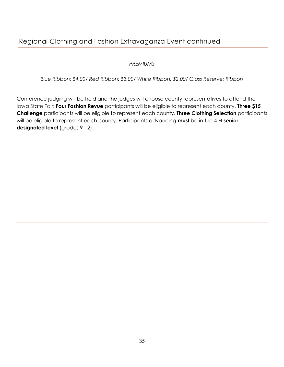# Regional Clothing and Fashion Extravaganza Event continued

### *PREMIUMS*

*Blue Ribbon: \$4.00/ Red Ribbon: \$3.00/ White Ribbon: \$2.00/ Class Reserve: Ribbon*

Conference judging will be held and the judges will choose county representatives to attend the Iowa State Fair: **Four Fashion Revue** participants will be eligible to represent each county. **Three \$15 Challenge** participants will be eligible to represent each county. **Three Clothing Selection** participants will be eligible to represent each county. Participants advancing **must** be in the 4-H **senior designated level** (grades 9-12).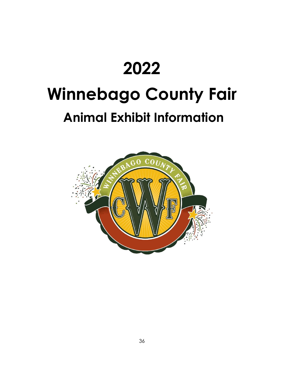# **2022 Winnebago County Fair Animal Exhibit Information**

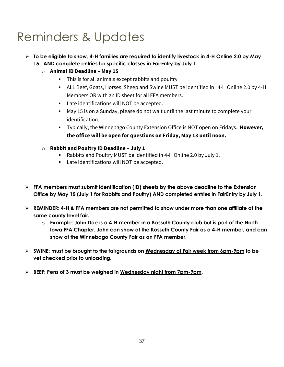# Reminders & Updates

- ➢ **To be eligible to show, 4-H families are required to identify livestock in 4-H Online 2.0 by May 15. AND complete entries for specific classes in FairEntry by July 1.**
	- o **Animal ID Deadline – May 15**
		- **E** This is for all animals except rabbits and poultry
		- ALL Beef, Goats, Horses, Sheep and Swine MUST be identified in 4-H Online 2.0 by 4-H Members OR with an ID sheet for all FFA members.
		- Late identifications will NOT be accepted.
		- May 15 is on a Sunday, please do not wait until the last minute to complete your identification.
		- Typically, the Winnebago County Extension Office is NOT open on Fridays. **However, the office will be open for questions on Friday, May 13 until noon.**
	- o **Rabbit and Poultry ID Deadline – July 1**
		- Rabbits and Poultry MUST be identified in 4-H Online 2.0 by July 1.
		- Late identifications will NOT be accepted.
- ➢ **FFA members must submit identification (ID) sheets by the above deadline to the Extension Office by May 15 (July 1 for Rabbits and Poultry) AND completed entries in FairEntry by July 1.**
- ➢ **REMINDER: 4-H & FFA members are not permitted to show under more than one affiliate at the same county level fair.** 
	- o **Example: John Doe is a 4-H member in a Kossuth County club but is part of the North Iowa FFA Chapter. John can show at the Kossuth County Fair as a 4-H member, and can show at the Winnebago County Fair as an FFA member.**
- ➢ **SWINE: must be brought to the fairgrounds on Wednesday of Fair week from 6pm-9pm to be vet checked prior to unloading.**
- ➢ **BEEF: Pens of 3 must be weighed in Wednesday night from 7pm-9pm.**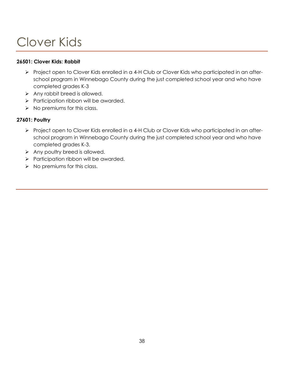# Clover Kids

### **26501: Clover Kids: Rabbit**

- ➢ Project open to Clover Kids enrolled in a 4-H Club or Clover Kids who participated in an afterschool program in Winnebago County during the just completed school year and who have completed grades K-3
- ➢ Any rabbit breed is allowed.
- ➢ Participation ribbon will be awarded.
- $\triangleright$  No premiums for this class.

### **27601: Poultry**

- ➢ Project open to Clover Kids enrolled in a 4-H Club or Clover Kids who participated in an afterschool program in Winnebago County during the just completed school year and who have completed grades K-3.
- ➢ Any poultry breed is allowed.
- ➢ Participation ribbon will be awarded.
- $\triangleright$  No premiums for this class.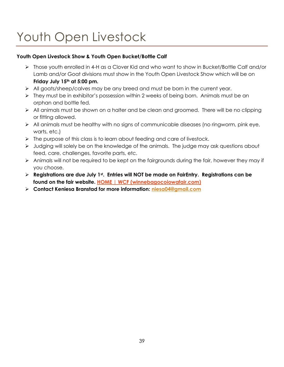# Youth Open Livestock

### **Youth Open Livestock Show & Youth Open Bucket/Bottle Calf**

- ➢ Those youth enrolled in 4-H as a Clover Kid and who want to show in Bucket/Bottle Calf and/or Lamb and/or Goat divisions must show in the Youth Open Livestock Show which will be on **Friday July 15th at 5:00 pm.**
- ➢ All goats/sheep/calves may be any breed and must be born in the current year.
- ➢ They must be in exhibitor's possession within 2 weeks of being born. Animals must be an orphan and bottle fed.
- ➢ All animals must be shown on a halter and be clean and groomed. There will be no clipping or fitting allowed.
- ➢ All animals must be healthy with no signs of communicable diseases (no ringworm, pink eye, warts, etc.)
- ➢ The purpose of this class is to learn about feeding and care of livestock.
- ➢ Judging will solely be on the knowledge of the animals. The judge may ask questions about feed, care, challenges, favorite parts, etc.
- ➢ Animals will not be required to be kept on the fairgrounds during the fair, however they may if you choose.
- ➢ **Registrations are due July 1st. Entries will NOT be made on FairEntry. Registrations can be found on the fair website. [HOME | WCF \(winnebagocoiowafair.com\)](https://www.winnebagocoiowafair.com/)**
- ➢ **Contact Keniesa Branstad for more information: [niesa04@gmail.com](mailto:niesa04@gmail.com)**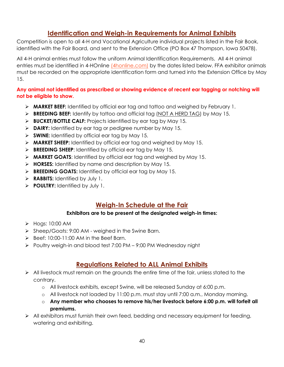# **Identification and Weigh-in Requirements for Animal Exhibits**

Competition is open to all 4-H and Vocational Agriculture individual projects listed in the Fair Book, identified with the Fair Board, and sent to the Extension Office (PO Box 47 Thompson, Iowa 50478).

All 4-H animal entries must follow the uniform Animal Identification Requirements. All 4-H animal entries must be identified in 4-HOnline [\(4honline.com\)](https://v2.4honline.com/#/user/sign-in) by the dates listed below. FFA exhibitor animals must be recorded on the appropriate identification form and turned into the Extension Office by May 15.

### **Any animal not identified as prescribed or showing evidence of recent ear tagging or notching will not be eligible to show.**

- ➢ **MARKET BEEF:** Identified by official ear tag and tattoo and weighed by February 1.
- ➢ **BREEDING BEEF:** Identify by tattoo and official tag (NOT A HERD TAG) by May 15.
- ➢ **BUCKET/BOTTLE CALF:** Projects identified by ear tag by May 15.
- ➢ **DAIRY:** Identified by ear tag or pedigree number by May 15.
- ➢ **SWINE:** Identified by official ear tag by May 15.
- ➢ **MARKET SHEEP:** Identified by official ear tag and weighed by May 15.
- ➢ **BREEDING SHEEP**: Identified by official ear tag by May 15.
- ➢ **MARKET GOATS**: Identified by official ear tag and weighed by May 15.
- ➢ **HORSES:** Identified by name and description by May 15.
- ➢ **BREEDING GOATS:** Identified by official ear tag by May 15.
- ➢ **RABBITS:** Identified by July 1.
- ➢ **POULTRY:** Identified by July 1.

# **Weigh-In Schedule at the Fair**

### **Exhibitors are to be present at the designated weigh-in times:**

- ➢ Hogs: 10:00 AM
- ➢ Sheep/Goats: 9:00 AM weighed in the Swine Barn.
- $\triangleright$  Beef: 10:00-11:00 AM in the Beef Barn.
- ➢ Poultry weigh-in and blood test 7:00 PM 9:00 PM Wednesday night

# **Regulations Related to ALL Animal Exhibits**

- ➢ All livestock must remain on the grounds the entire time of the fair, unless stated to the contrary.
	- o All livestock exhibits, except Swine, will be released Sunday at 6:00 p.m.
	- o All livestock not loaded by 11:00 p.m. must stay until 7:00 a.m., Monday morning.
	- o **Any member who chooses to remove his/her livestock before 6:00 p.m. will forfeit all premiums.**
- ➢ All exhibitors must furnish their own feed, bedding and necessary equipment for feeding, watering and exhibiting.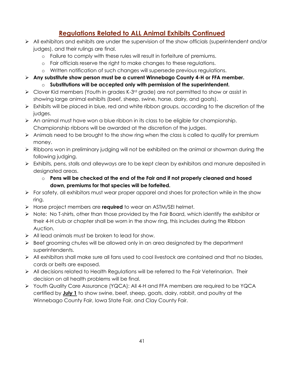# **Regulations Related to ALL Animal Exhibits Continued**

- $\triangleright$  All exhibitors and exhibits are under the supervision of the show officials (superintendent and/or judges), and their rulings are final.
	- o Failure to comply with these rules will result in forfeiture of premiums.
	- o Fair officials reserve the right to make changes to these regulations.
	- o Written notification of such changes will supersede previous regulations.
- ➢ **Any substitute show person must be a current Winnebago County 4-H or FFA member.** 
	- o **Substitutions will be accepted only with permission of the superintendent.**
- $\triangleright$  Clover Kid members (Youth in grades K-3<sup>rd</sup> grade) are not permitted to show or assist in showing large animal exhibits (beef, sheep, swine, horse, dairy, and goats).
- ➢ Exhibits will be placed in blue, red and white ribbon groups, according to the discretion of the judges.
- $\triangleright$  An animal must have won a blue ribbon in its class to be eligible for championship. Championship ribbons will be awarded at the discretion of the judges.
- ➢ Animals need to be brought to the show ring when the class is called to qualify for premium money.
- ➢ Ribbons won in preliminary judging will not be exhibited on the animal or showman during the following judging.
- ➢ Exhibits, pens, stalls and alleyways are to be kept clean by exhibitors and manure deposited in designated areas.
	- o **Pens will be checked at the end of the Fair and if not properly cleaned and hosed down, premiums for that species will be forfeited.**
- ➢ For safety, all exhibitors must wear proper apparel and shoes for protection while in the show ring.
- ➢ Horse project members are **required** to wear an ASTM/SEI helmet.
- ➢ Note: No T-shirts, other than those provided by the Fair Board, which identify the exhibitor or their 4-H club or chapter shall be worn in the show ring, this includes during the Ribbon Auction.
- ➢ All lead animals must be broken to lead for show.
- ➢ Beef grooming chutes will be allowed only in an area designated by the department superintendents.
- ➢ All exhibitors shall make sure all fans used to cool livestock are contained and that no blades, cords or belts are exposed.
- ➢ All decisions related to Health Regulations will be referred to the Fair Veterinarian. Their decision on all health problems will be final.
- ➢ Youth Quality Care Assurance (YQCA): All 4-H and FFA members are required to be YQCA certified by **July 1** to show swine, beef, sheep, goats, dairy, rabbit, and poultry at the Winnebago County Fair, Iowa State Fair, and Clay County Fair.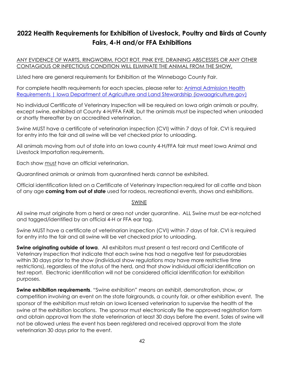# **2022 Health Requirements for Exhibition of Livestock, Poultry and Birds at County Fairs, 4-H and/or FFA Exhibitions**

ANY EVIDENCE OF WARTS, RINGWORM, FOOT ROT, PINK EYE, DRAINING ABSCESSES OR ANY OTHER CONTAGIOUS OR INFECTIOUS CONDITION WILL ELIMINATE THE ANIMAL FROM THE SHOW.

Listed here are general requirements for Exhibition at the Winnebago County Fair.

For complete health requirements for each species, please refer to: [Animal Admission Health](https://iowaagriculture.gov/animal-industry-bureau/animal-admission-health-requirements?msclkid=863b1a8fc64811ecab5be5d4c68818cf)  [Requirements | Iowa Department of Agriculture and Land Stewardship \(iowaagriculture.gov\)](https://iowaagriculture.gov/animal-industry-bureau/animal-admission-health-requirements?msclkid=863b1a8fc64811ecab5be5d4c68818cf)

No individual Certificate of Veterinary Inspection will be required on Iowa origin animals or poultry, except swine, exhibited at County 4-H/FFA FAIR, but the animals must be inspected when unloaded or shortly thereafter by an accredited veterinarian.

Swine MUST have a certificate of veterinarian inspection (CVI) within 7 days of fair. CVI is required for entry into the fair and all swine will be vet checked prior to unloading.

All animals moving from out of state into an Iowa county 4-H/FFA fair must meet Iowa Animal and Livestock Importation requirements.

Each show must have an official veterinarian.

Quarantined animals or animals from quarantined herds cannot be exhibited.

Official identification listed on a Certificate of Veterinary Inspection required for all cattle and bison of any age **coming from out of state** used for rodeos, recreational events, shows and exhibitions.

### SWINE

All swine must originate from a herd or area not under quarantine. ALL Swine must be ear-notched and tagged/identified by an official 4-H or FFA ear tag.

Swine MUST have a certificate of veterinarian inspection (CVI) within 7 days of fair. CVI is required for entry into the fair and all swine will be vet checked prior to unloading.

**Swine originating outside of Iowa.** All exhibitors must present a test record and Certificate of Veterinary Inspection that indicate that each swine has had a negative test for pseudorabies within 30 days prior to the show (individual show regulations may have more restrictive time restrictions), regardless of the status of the herd, and that show individual official identification on test report. Electronic identification will not be considered official identification for exhibition purposes.

**Swine exhibition requirements**. "Swine exhibition" means an exhibit, demonstration, show, or competition involving an event on the state fairgrounds, a county fair, or other exhibition event. The sponsor of the exhibition must retain an Iowa licensed veterinarian to supervise the health of the swine at the exhibition locations. The sponsor must electronically file the approved registration form and obtain approval from the state veterinarian at least 30 days before the event. Sales of swine will not be allowed unless the event has been registered and received approval from the state veterinarian 30 days prior to the event.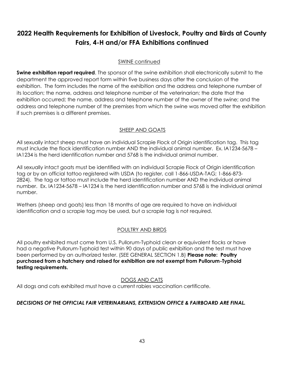# **2022 Health Requirements for Exhibition of Livestock, Poultry and Birds at County Fairs, 4-H and/or FFA Exhibitions continued**

### SWINE continued

**Swine exhibition report required**. The sponsor of the swine exhibition shall electronically submit to the department the approved report form within five business days after the conclusion of the exhibition. The form includes the name of the exhibition and the address and telephone number of its location; the name, address and telephone number of the veterinarian; the date that the exhibition occurred; the name, address and telephone number of the owner of the swine; and the address and telephone number of the premises from which the swine was moved after the exhibition if such premises is a different premises.

### SHEEP AND GOATS

All sexually intact sheep must have an individual Scrapie Flock of Origin identification tag. This tag must include the flock identification number AND the individual animal number. Ex. IA1234-5678 – IA1234 is the herd identification number and 5768 is the individual animal number.

All sexually intact goats must be identified with an individual Scrapie Flock of Origin identification tag or by an official tattoo registered with USDA (to register, call 1-866-USDA-TAG; 1-866-873- 2824). The tag or tattoo must include the herd identification number AND the individual animal number. Ex. IA1234-5678 – IA1234 is the herd identification number and 5768 is the individual animal number.

Wethers (sheep and goats) less than 18 months of age are required to have an individual identification and a scrapie tag may be used, but a scrapie tag is not required.

### POULTRY AND BIRDS

All poultry exhibited must come from U.S. Pullorum-Typhoid clean or equivalent flocks or have had a negative Pullorum-Typhoid test within 90 days of public exhibition and the test must have been performed by an authorized tester. (SEE GENERAL SECTION 1.B) **Please note: Poultry purchased from a hatchery and raised for exhibition are not exempt from Pullorum-Typhoid testing requirements.**

### DOGS AND CATS

All dogs and cats exhibited must have a current rabies vaccination certificate.

### *DECISIONS OF THE OFFICIAL FAIR VETERINARIANS, EXTENSION OFFICE & FAIRBOARD ARE FINAL.*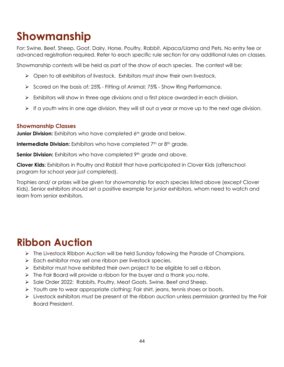# **Showmanship**

For: Swine, Beef, Sheep, Goat, Dairy, Horse, Poultry, Rabbit, Alpaca/Llama and Pets. No entry fee or advanced registration required. Refer to each specific rule section for any additional rules on classes.

Showmanship contests will be held as part of the show of each species. The contest will be:

- ➢ Open to all exhibitors of livestock. Exhibitors must show their own livestock.
- ➢ Scored on the basis of: 25% Fitting of Animal; 75% Show Ring Performance.
- ➢ Exhibitors will show in three age divisions and a first place awarded in each division.
- $\triangleright$  If a youth wins in one age division, they will sit out a year or move up to the next age division.

### **Showmanship Classes**

**Junior Division:** Exhibitors who have completed 6<sup>th</sup> grade and below.

**Intermediate Division:** Exhibitors who have completed 7<sup>th</sup> or 8<sup>th</sup> grade.

**Senior Division:** Exhibitors who have completed 9<sup>th</sup> grade and above.

**Clover Kids:** Exhibitors in Poultry and Rabbit that have participated in Clover Kids (afterschool program for school year just completed).

Trophies and/ or prizes will be given for showmanship for each species listed above (except Clover Kids). Senior exhibitors should set a positive example for junior exhibitors, whom need to watch and learn from senior exhibitors.

# **Ribbon Auction**

- ➢ The Livestock Ribbon Auction will be held Sunday following the Parade of Champions.
- ➢ Each exhibitor may sell one ribbon per livestock species.
- $\triangleright$  Exhibitor must have exhibited their own project to be eligible to sell a ribbon.
- $\triangleright$  The Fair Board will provide a ribbon for the buyer and a thank you note.
- ➢ Sale Order 2022: Rabbits, Poultry, Meat Goats, Swine, Beef and Sheep.
- ➢ Youth are to wear appropriate clothing: Fair shirt, jeans, tennis shoes or boots.
- $\triangleright$  Livestock exhibitors must be present at the ribbon auction unless permission granted by the Fair Board President.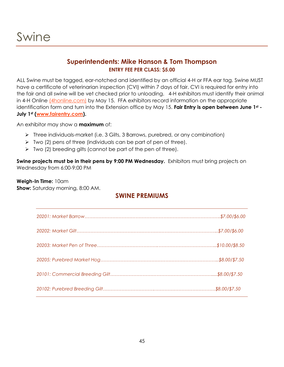### **Superintendents: Mike Hanson & Tom Thompson ENTRY FEE PER CLASS: \$5.00**

ALL Swine must be tagged, ear-notched and identified by an official 4-H or FFA ear tag. Swine MUST have a certificate of veterinarian inspection (CVI) within 7 days of fair. CVI is required for entry into the fair and all swine will be vet checked prior to unloading.4-H exhibitors must identify their animal in 4-H Online [\(4honline.com\)](https://v2.4honline.com/#/user/sign-in) by May 15. FFA exhibitors record information on the appropriate identification form and turn into the Extension office by May 15. **Fair Entry is open between June 1st - July 1st [\(www.fairentry.com\)](http://www.fairentry.com/).**

An exhibitor may show a **maximum** of:

- ➢ Three individuals-market (i.e. 3 Gilts, 3 Barrows, purebred, or any combination)
- $\triangleright$  Two (2) pens of three (individuals can be part of pen of three).
- $\triangleright$  Two (2) breeding gilts (cannot be part of the pen of three).

**Swine projects must be in their pens by 9:00 PM Wednesday.** Exhibitors must bring projects on Wednesday from 6:00-9:00 PM

### **Weigh-In Time:** 10am

**Show:** Saturday morning, 8:00 AM.

### **SWINE PREMIUMS**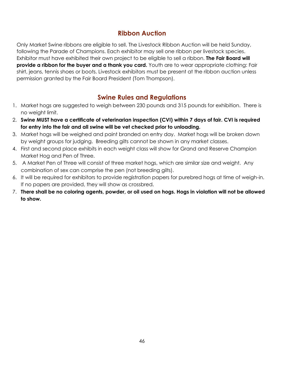# **Ribbon Auction**

Only Market Swine ribbons are eligible to sell. The Livestock Ribbon Auction will be held Sunday, following the Parade of Champions. Each exhibitor may sell one ribbon per livestock species. Exhibitor must have exhibited their own project to be eligible to sell a ribbon. **The Fair Board will provide a ribbon for the buyer and a thank you card.** Youth are to wear appropriate clothing: Fair shirt, jeans, tennis shoes or boots. Livestock exhibitors must be present at the ribbon auction unless permission granted by the Fair Board President (Tom Thompson).

# **Swine Rules and Regulations**

- 1. Market hogs are suggested to weigh between 230 pounds and 315 pounds for exhibition. There is no weight limit.
- 2. **Swine MUST have a certificate of veterinarian inspection (CVI) within 7 days of fair. CVI is required for entry into the fair and all swine will be vet checked prior to unloading.**
- 3. Market hogs will be weighed and paint branded on entry day. Market hogs will be broken down by weight groups for judging. Breeding gilts cannot be shown in any market classes.
- 4. First and second place exhibits in each weight class will show for Grand and Reserve Champion Market Hog and Pen of Three.
- 5. A Market Pen of Three will consist of three market hogs, which are similar size and weight. Any combination of sex can comprise the pen (not breeding gilts).
- 6. It will be required for exhibitors to provide registration papers for purebred hogs at time of weigh-in. If no papers are provided, they will show as crossbred.
- 7. **There shall be no coloring agents, powder, or oil used on hogs. Hogs in violation will not be allowed to show.**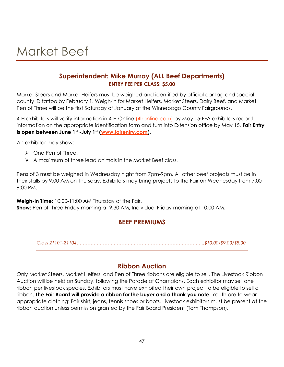# Market Beef

## **Superintendent: Mike Murray (ALL Beef Departments) ENTRY FEE PER CLASS: \$5.00**

Market Steers and Market Heifers must be weighed and identified by official ear tag and special county ID tattoo by February 1. Weigh-in for Market Heifers, Market Steers, Dairy Beef, and Market Pen of Three will be the first Saturday of January at the Winnebago County Fairgrounds.

4-H exhibitors will verify information in 4-H Online [\(4honline.com\)](https://v2.4honline.com/#/user/sign-in) by May 15. FFA exhibitors record information on the appropriate identification form and turn into Extension office by May 15. **Fair Entry is open between June 1st -July 1st [\(www.fairentry.com\)](http://www.fairentry.com/).** 

An exhibitor may show:

- ➢ One Pen of Three.
- ➢ A maximum of three lead animals in the Market Beef class.

Pens of 3 must be weighed in Wednesday night from 7pm-9pm. All other beef projects must be in their stalls by 9:00 AM on Thursday. Exhibitors may bring projects to the Fair on Wednesday from 7:00- 9:00 PM.

**Weigh-In Time:** 10:00-11:00 AM Thursday of the Fair. **Show:** Pen of Three Friday morning at 9:30 AM, Individual Friday morning at 10:00 AM.

### **BEEF PREMIUMS**

*Class 21101-21104………………………………………………………………………..\$10.00/\$9.00/\$8.00*

# **Ribbon Auction**

Only Market Steers, Market Heifers, and Pen of Three ribbons are eligible to sell. The Livestock Ribbon Auction will be held on Sunday, following the Parade of Champions. Each exhibitor may sell one ribbon per livestock species. Exhibitors must have exhibited their own project to be eligible to sell a ribbon. **The Fair Board will provide a ribbon for the buyer and a thank you note.** Youth are to wear appropriate clothing: Fair shirt, jeans, tennis shoes or boots. Livestock exhibitors must be present at the ribbon auction unless permission granted by the Fair Board President (Tom Thompson).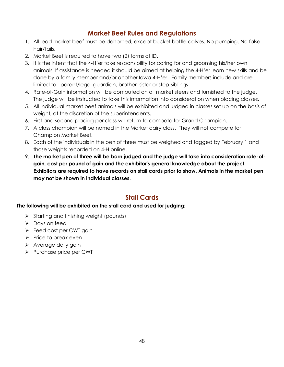# **Market Beef Rules and Regulations**

- 1. All lead market beef must be dehorned, except bucket bottle calves. No pumping. No false hair/tails.
- 2. Market Beef is required to have two (2) forms of ID.
- 3. It is the intent that the 4-H'er take responsibility for caring for and grooming his/her own animals. If assistance is needed it should be aimed at helping the 4-H'er learn new skills and be done by a family member and/or another Iowa 4-H'er. Family members include and are limited to: parent/legal guardian, brother, sister or step-siblings
- 4. Rate-of-Gain information will be computed on all market steers and furnished to the judge. The judge will be instructed to take this information into consideration when placing classes.
- 5. All individual market beef animals will be exhibited and judged in classes set up on the basis of weight, at the discretion of the superintendents.
- 6. First and second placing per class will return to compete for Grand Champion.
- 7. A class champion will be named in the Market dairy class. They will not compete for Champion Market Beef.
- 8. Each of the individuals in the pen of three must be weighed and tagged by February 1 and those weights recorded on 4-H online.
- 9. **The market pen of three will be barn judged and the judge will take into consideration rate-ofgain, cost per pound of gain and the exhibitor's general knowledge about the project. Exhibitors are required to have records on stall cards prior to show. Animals in the market pen may not be shown in individual classes.**

# **Stall Cards**

### **The following will be exhibited on the stall card and used for judging:**

- ➢ Starting and finishing weight (pounds)
- ➢ Days on feed
- ➢ Feed cost per CWT gain
- ➢ Price to break even
- ➢ Average daily gain
- ➢ Purchase price per CWT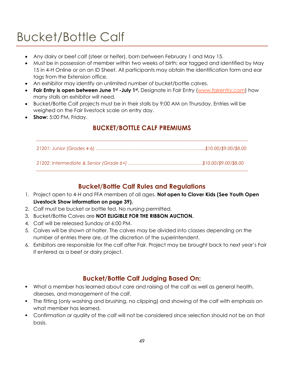# Bucket/Bottle Calf

- Any dairy or beef calf (steer or heifer), born between February 1 and May 15.
- Must be in possession of member within two weeks of birth; ear tagged and identified by May 15 in 4-H Online or on an ID Sheet. All participants may obtain the identification form and ear tags from the Extension office.
- An exhibitor may identify an unlimited number of bucket/bottle calves.
- **Fair Entry is open between June 1st -July 1st .** Designate in Fair Entry [\(www.fairentry.com\)](http://www.fairentry.com/) how many stalls an exhibitor will need.
- Bucket/Bottle Calf projects must be in their stalls by 9:00 AM on Thursday. Entries will be weighed on the Fair livestock scale on entry day.
- **Show:** 5:00 PM, Friday.

# **BUCKET/BOTTLE CALF PREMIUMS**

# **Bucket/Bottle Calf Rules and Regulations**

- 1. Project open to 4-H and FFA members of all ages. **Not open to Clover Kids (See Youth Open Livestock Show information on page 39).**
- 2. Calf must be bucket or bottle fed. No nursing permitted.
- 3. Bucket/Bottle Calves are **NOT ELIGIBLE FOR THE RIBBON AUCTION.**
- 4. Calf will be released Sunday at 6:00 PM.
- 5. Calves will be shown at halter. The calves may be divided into classes depending on the number of entries there are, at the discretion of the superintendent.
- 6. Exhibitors are responsible for the calf after Fair. Project may be brought back to next year's Fair if entered as a beef or dairy project.

# **Bucket/Bottle Calf Judging Based On:**

- What a member has learned about care and raising of the calf as well as general health, diseases, and management of the calf.
- The fitting (only washing and brushing, no clipping) and showing of the calf with emphasis on what member has learned.
- Confirmation or quality of the calf will not be considered since selection should not be on that basis.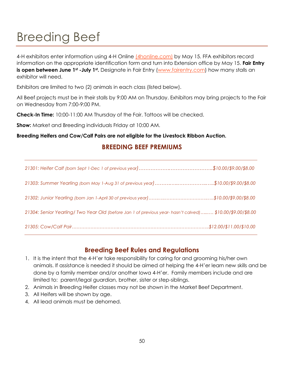# Breeding Beef

4-H exhibitors enter information using 4-H Online [\(4honline.com\)](https://v2.4honline.com/#/user/sign-in) by May 15. FFA exhibitors record information on the appropriate identification form and turn into Extension office by May 15. **Fair Entry is open between June 1st -July 1st.** Designate in Fair Entry [\(www.fairentry.com\)](http://www.fairentry.com/) how many stalls an exhibitor will need.

Exhibitors are limited to two (2) animals in each class (listed below).

All Beef projects must be in their stalls by 9:00 AM on Thursday. Exhibitors may bring projects to the Fair on Wednesday from 7:00-9:00 PM.

**Check-In Time:** 10:00-11:00 AM Thursday of the Fair. Tattoos will be checked.

**Show:** Market and Breeding individuals Friday at 10:00 AM.

### **Breeding Heifers and Cow/Calf Pairs are not eligible for the Livestock Ribbon Auction.**

# **BREEDING BEEF PREMIUMS**

| 21303: Summer Yearling (born May 1-Aug 31 of previous year)\$10.00/\$9.00/\$8.00                        |  |
|---------------------------------------------------------------------------------------------------------|--|
|                                                                                                         |  |
| 21304: Senior Yearling/Two Year Old (before Jan 1 of previous year-hasn't calved) \$10.00/\$9.00/\$8.00 |  |
|                                                                                                         |  |

### **Breeding Beef Rules and Regulations**

- 1. It is the intent that the 4-H'er take responsibility for caring for and grooming his/her own animals. If assistance is needed it should be aimed at helping the 4-H'er learn new skills and be done by a family member and/or another Iowa 4-H'er. Family members include and are limited to: parent/legal guardian, brother, sister or step-siblings.
- 2. Animals in Breeding Heifer classes may not be shown in the Market Beef Department.
- 3. All Heifers will be shown by age.
- 4. All lead animals must be dehorned.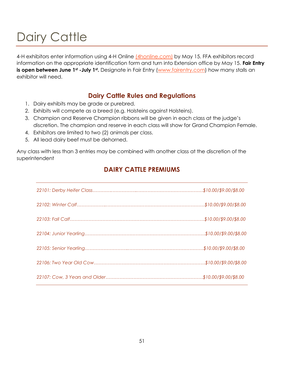# Dairy Cattle

4-H exhibitors enter information using 4-H Online [\(4honline.com\)](https://v2.4honline.com/#/user/sign-in) by May 15. FFA exhibitors record information on the appropriate identification form and turn into Extension office by May 15. **Fair Entry is open between June 1st -July 1st.** Designate in Fair Entry [\(www.fairentry.com\)](http://www.fairentry.com/) how many stalls an exhibitor will need.

### **Dairy Cattle Rules and Regulations**

- 1. Dairy exhibits may be grade or purebred.
- 2. Exhibits will compete as a breed (e.g. Holsteins against Holsteins).
- 3. Champion and Reserve Champion ribbons will be given in each class at the judge's discretion. The champion and reserve in each class will show for Grand Champion Female.
- 4. Exhibitors are limited to two (2) animals per class.
- 5. All lead dairy beef must be dehorned.

Any class with less than 3 entries may be combined with another class at the discretion of the superintendent

# **DAIRY CATTLE PREMIUMS**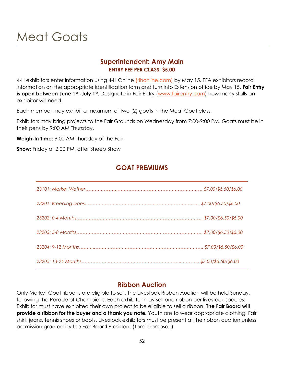# Meat Goats

### **Superintendent: Amy Main ENTRY FEE PER CLASS: \$5.00**

4-H exhibitors enter information using 4-H Online [\(4honline.com\)](https://v2.4honline.com/#/user/sign-in) by May 15. FFA exhibitors record information on the appropriate identification form and turn into Extension office by May 15. **Fair Entry is open between June 1<sup>st</sup> -July 1<sup>st</sup>**. Designate in Fair Entry [\(www.fairentry.com\)](http://www.fairentry.com/) how many stalls an exhibitor will need.

Each member may exhibit a maximum of two (2) goats in the Meat Goat class.

Exhibitors may bring projects to the Fair Grounds on Wednesday from 7:00-9:00 PM. Goats must be in their pens by 9:00 AM Thursday.

**Weigh-In Time:** 9:00 AM Thursday of the Fair.

**Show:** Friday at 2:00 PM, after Sheep Show

# **GOAT PREMIUMS**

# **Ribbon Auction**

Only Market Goat ribbons are eligible to sell. The Livestock Ribbon Auction will be held Sunday, following the Parade of Champions. Each exhibitor may sell one ribbon per livestock species. Exhibitor must have exhibited their own project to be eligible to sell a ribbon. **The Fair Board will provide a ribbon for the buyer and a thank you note.** Youth are to wear appropriate clothing: Fair shirt, jeans, tennis shoes or boots. Livestock exhibitors must be present at the ribbon auction unless permission granted by the Fair Board President (Tom Thompson).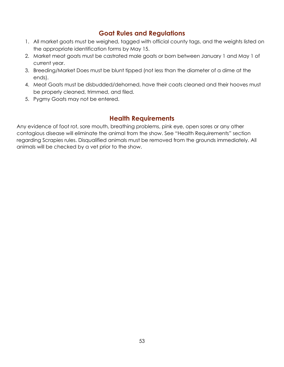# **Goat Rules and Regulations**

- 1. All market goats must be weighed, tagged with official county tags, and the weights listed on the appropriate identification forms by May 15.
- 2. Market meat goats must be castrated male goats or born between January 1 and May 1 of current year.
- 3. Breeding/Market Does must be blunt tipped (not less than the diameter of a dime at the ends).
- 4. Meat Goats must be disbudded/dehorned, have their coats cleaned and their hooves must be properly cleaned, trimmed, and filed.
- 5. Pygmy Goats may not be entered.

# **Health Requirements**

Any evidence of foot rot, sore mouth, breathing problems, pink eye, open sores or any other contagious disease will eliminate the animal from the show. See "Health Requirements" section regarding Scrapies rules. Disqualified animals must be removed from the grounds immediately. All animals will be checked by a vet prior to the show.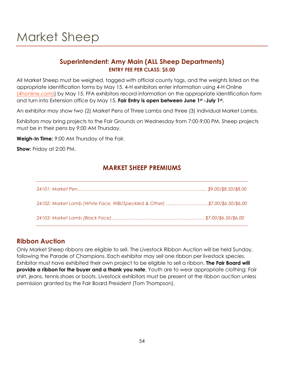# **Superintendent: Amy Main (ALL Sheep Departments) ENTRY FEE PER CLASS: \$5.00**

All Market Sheep must be weighed, tagged with official county tags, and the weights listed on the appropriate identification forms by May 15. 4-H exhibitors enter information using 4-H Online [\(4honline.com\)\)](https://v2.4honline.com/#/user/sign-in) by May 15. FFA exhibitors record information on the appropriate identification form and turn into Extension office by May 15. **Fair Entry is open between June 1st -July 1st .** 

An exhibitor may show two (2) Market Pens of Three Lambs and three (3) individual Market Lambs.

Exhibitors may bring projects to the Fair Grounds on Wednesday from 7:00-9:00 PM. Sheep projects must be in their pens by 9:00 AM Thursday.

**Weigh-In Time:** 9:00 AM Thursday of the Fair.

**Show:** Friday at 2:00 PM.

# **MARKET SHEEP PREMIUMS**

| 24102: Market Lamb (White Face, WBI/Speckled & Other) \$7.00/\$6.50/\$6.00 |  |
|----------------------------------------------------------------------------|--|
|                                                                            |  |

### **Ribbon Auction**

Only Market Sheep ribbons are eligible to sell. The Livestock Ribbon Auction will be held Sunday, following the Parade of Champions. Each exhibitor may sell one ribbon per livestock species. Exhibitor must have exhibited their own project to be eligible to sell a ribbon. **The Fair Board will provide a ribbon for the buyer and a thank you note**. Youth are to wear appropriate clothing: Fair shirt, jeans, tennis shoes or boots. Livestock exhibitors must be present at the ribbon auction unless permission granted by the Fair Board President (Tom Thompson).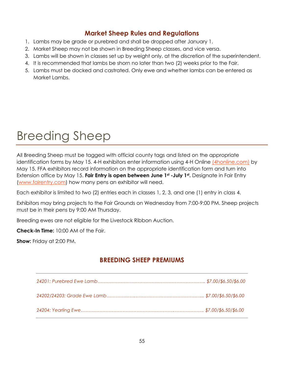# **Market Sheep Rules and Regulations**

- 1. Lambs may be grade or purebred and shall be dropped after January 1.
- 2. Market Sheep may not be shown in Breeding Sheep classes, and vice versa.
- 3. Lambs will be shown in classes set up by weight only, at the discretion of the superintendent.
- 4. It is recommended that lambs be shorn no later than two (2) weeks prior to the Fair.
- 5. Lambs must be docked and castrated. Only ewe and whether lambs can be entered as Market Lambs.

# Breeding Sheep

All Breeding Sheep must be tagged with official county tags and listed on the appropriate identification forms by May 15. 4-H exhibitors enter information using 4-H Online [\(4honline.com\)](https://v2.4honline.com/#/user/sign-in) by May 15. FFA exhibitors record information on the appropriate identification form and turn into Extension office by May 15. **Fair Entry is open between June 1st -July 1st .** Designate in Fair Entry [\(www.fairentry.com\)](http://www.fairentry.com/) how many pens an exhibitor will need.

Each exhibitor is limited to two (2) entries each in classes 1, 2, 3, and one (1) entry in class 4.

Exhibitors may bring projects to the Fair Grounds on Wednesday from 7:00-9:00 PM. Sheep projects must be in their pens by 9:00 AM Thursday.

Breeding ewes are not eligible for the Livestock Ribbon Auction.

**Check-In Time:** 10:00 AM of the Fair.

**Show:** Friday at 2:00 PM.

# **BREEDING SHEEP PREMIUMS**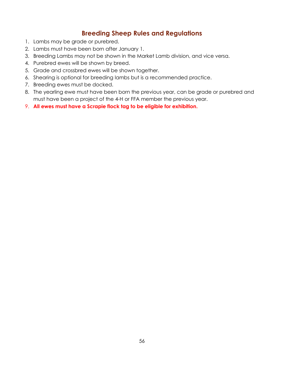# **Breeding Sheep Rules and Regulations**

- 1. Lambs may be grade or purebred.
- 2. Lambs must have been born after January 1.
- 3. Breeding Lambs may not be shown in the Market Lamb division, and vice versa.
- 4. Purebred ewes will be shown by breed.
- 5. Grade and crossbred ewes will be shown together.
- 6. Shearing is optional for breeding lambs but is a recommended practice.
- 7. Breeding ewes must be docked.
- 8. The yearling ewe must have been born the previous year, can be grade or purebred and must have been a project of the 4-H or FFA member the previous year.
- 9. **All ewes must have a Scrapie flock tag to be eligible for exhibition.**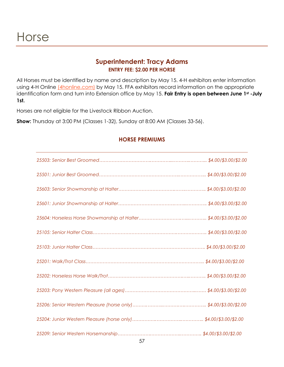### **Superintendent: Tracy Adams ENTRY FEE: \$2.00 PER HORSE**

All Horses must be identified by name and description by May 15. 4-H exhibitors enter information using 4-H Online *(4honline.com)* by May 15. FFA exhibitors record information on the appropriate identification form and turn into Extension office by May 15. **Fair Entry is open between June 1st -July 1st.** 

Horses are not eligible for the Livestock Ribbon Auction.

**Show:** Thursday at 3:00 PM (Classes 1-32), Sunday at 8:00 AM (Classes 33-56).

### **HORSE PREMIUMS**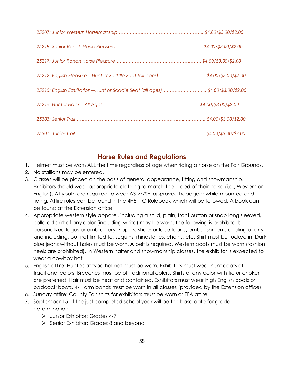| 25212: English Pleasure—Hunt or Saddle Seat (all ages)\$4.00/\$3.00/\$2.00   |  |
|------------------------------------------------------------------------------|--|
| 25215: English Equitation—Hunt or Saddle Seat (all ages)\$4.00/\$3.00/\$2.00 |  |
|                                                                              |  |
|                                                                              |  |
|                                                                              |  |

### **Horse Rules and Regulations**

- 1. Helmet must be worn ALL the time regardless of age when riding a horse on the Fair Grounds.
- 2. No stallions may be entered.
- 3. Classes will be placed on the basis of general appearance, fitting and showmanship. Exhibitors should wear appropriate clothing to match the breed of their horse (i.e., Western or English). All youth are required to wear ASTM/SEI approved headgear while mounted and riding. Attire rules can be found in the 4H511C Rulebook which will be followed. A book can be found at the Extension office.
- 4. Appropriate western style apparel, including a solid, plain, front button or snap long sleeved, collared shirt of any color (including white) may be worn. The following is prohibited: personalized logos or embroidery, zippers, sheer or lace fabric, embellishments or bling of any kind including, but not limited to, sequins, rhinestones, chains, etc. Shirt must be tucked in. Dark blue jeans without holes must be worn. A belt is required. Western boots must be worn (fashion heels are prohibited). In Western halter and showmanship classes, the exhibitor is expected to wear a cowboy hat.
- 5. English attire: Hunt Seat type helmet must be worn. Exhibitors must wear hunt coats of traditional colors. Breeches must be of traditional colors. Shirts of any color with tie or choker are preferred. Hair must be neat and contained. Exhibitors must wear high English boots or paddock boots. 4-H arm bands must be worn in all classes (provided by the Extension office).
- 6. Sunday attire: County Fair shirts for exhibitors must be worn or FFA attire.
- 7. September 15 of the just completed school year will be the base date for grade determination.
	- ➢ Junior Exhibitor: Grades 4-7
	- ➢ Senior Exhibitor: Grades 8 and beyond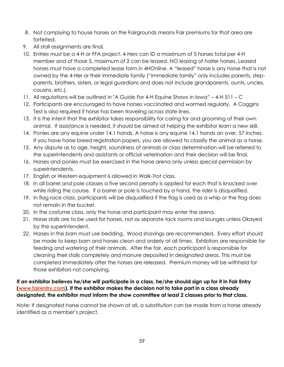- 8. Not complying to house horses on the Fairgrounds means Fair premiums for that area are forfeited.
- 9. All stall assignments are final.
- 10. Entries must be a 4-H or FFA project. 4-Hers can ID a maximum of 5 horses total per 4-H member and of those 5, maximum of 2 can be leased. NO leasing of halter horses. Leased horses must have a completed lease form in 4HOnline. A "leased" horse is any horse that is not owned by the 4-Her or their immediate family ("immediate family" only includes parents, stepparents, brothers, sisters, or legal guardians and does not include grandparents, aunts, uncles, cousins, etc.).
- 11. All regulations will be outlined in "A Guide For 4-H Equine Shows in Iowa" 4-H 511 C
- 12. Participants are encouraged to have horses vaccinated and wormed regularly. A Coggins Test is also required if horse has been traveling across state lines.
- 13. It is the intent that the exhibitor takes responsibility for caring for and grooming of their own animal. If assistance is needed, it should be aimed at helping the exhibitor learn a new skill.
- 14. Ponies are any equine under 14.1 hands. A horse is any equine 14.1 hands an over, 57 inches. If you have horse breed registration papers, you are allowed to classify the animal as a horse.
- 15. Any dispute as to age, height, soundness of animals or class determination will be referred to the superintendents and assistants or official veterinarian and their decision will be final.
- 16. Horses and ponies must be exercised in the horse arena only unless special permission by superintendents.
- 17. English or Western equipment is allowed in Walk-Trot class.
- 18. In all barrel and pole classes a five second penalty is applied for each that is knocked over while riding the course. If a barrel or pole is touched by a hand, the rider is disqualified.
- 19. In flag race class, participants will be disqualified if the flag is used as a whip or the flag does not remain in the bucket.
- 20. In the costume class, only the horse and participant may enter the arena.
- 21. Horse stalls are to be used for horses, not as separate tack rooms and lounges unless Okayed by the superintendent.
- 22. Horses in the barn must use bedding. Wood shavings are recommended. Every effort should be made to keep barn and horses clean and orderly at all times. Exhibitors are responsible for feeding and watering of their animals. After the fair, each participant is responsible for cleaning their stalls completely and manure deposited in designated areas. This must be completed immediately after the horses are released. Premium money will be withheld for those exhibitors not complying.

### **If an exhibitor believes he/she will participate in a class, he/she should sign up for it in Fair Entry [\(www.fairentry.com\)](http://www.fairentry.com/). If the exhibitor makes the decision not to take part in a class already designated, the exhibitor must inform the show committee at least 2 classes prior to that class.**

Note: If designated horse cannot be shown at all, a substitution can be made from a horse already identified as a member's project.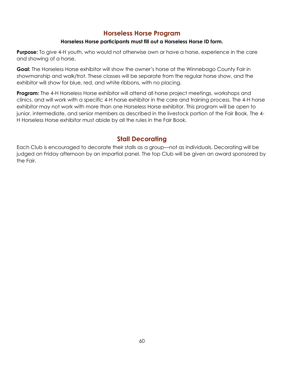# **Horseless Horse Program**

### **Horseless Horse participants must fill out a Horseless Horse ID form.**

**Purpose:** To give 4-H youth, who would not otherwise own or have a horse, experience in the care and showing of a horse.

**Goal:** The Horseless Horse exhibitor will show the owner's horse at the Winnebago County Fair in showmanship and walk/trot. These classes will be separate from the regular horse show, and the exhibitor will show for blue, red, and white ribbons, with no placing.

**Program:** The 4-H Horseless Horse exhibitor will attend all horse project meetings, workshops and clinics, and will work with a specific 4-H horse exhibitor in the care and training process. The 4-H horse exhibitor may not work with more than one Horseless Horse exhibitor. This program will be open to junior, intermediate, and senior members as described in the livestock portion of the Fair Book. The 4-H Horseless Horse exhibitor must abide by all the rules in the Fair Book.

# **Stall Decorating**

Each Club is encouraged to decorate their stalls as a group—not as individuals. Decorating will be judged on Friday afternoon by an impartial panel. The top Club will be given an award sponsored by the Fair.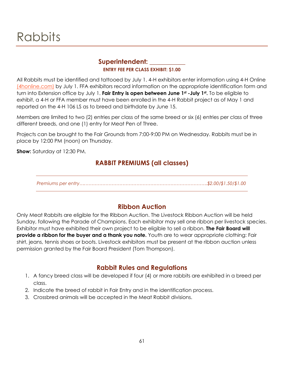# Rabbits

### **Superintendent: \_\_\_\_\_\_\_\_\_\_\_ ENTRY FEE PER CLASS EXHIBIT: \$1.00**

All Rabbits must be identified and tattooed by July 1. 4-H exhibitors enter information using 4-H Online [\(4honline.com\)](https://v2.4honline.com/#/user/sign-in) by July 1. FFA exhibitors record information on the appropriate identification form and turn into Extension office by July 1. **Fair Entry is open between June 1st -July 1st .** To be eligible to exhibit, a 4-H or FFA member must have been enrolled in the 4-H Rabbit project as of May 1 and reported on the 4-H 106 LS as to breed and birthdate by June 15.

Members are limited to two (2) entries per class of the same breed or six (6) entries per class of three different breeds, and one (1) entry for Meat Pen of Three.

Projects can be brought to the Fair Grounds from 7:00-9:00 PM on Wednesday. Rabbits must be in place by 12:00 PM (noon) on Thursday.

**Show:** Saturday at 12:30 PM.

# **RABBIT PREMIUMS (all classes)**

*Premiums per entry….…………………………………………………………………….\$2.00/\$1.50/\$1.00*

### **Ribbon Auction**

Only Meat Rabbits are eligible for the Ribbon Auction. The Livestock Ribbon Auction will be held Sunday, following the Parade of Champions. Each exhibitor may sell one ribbon per livestock species. Exhibitor must have exhibited their own project to be eligible to sell a ribbon. **The Fair Board will provide a ribbon for the buyer and a thank you note.** Youth are to wear appropriate clothing: Fair shirt, jeans, tennis shoes or boots. Livestock exhibitors must be present at the ribbon auction unless permission granted by the Fair Board President (Tom Thompson).

### **Rabbit Rules and Regulations**

- 1. A fancy breed class will be developed if four (4) or more rabbits are exhibited in a breed per class.
- 2. Indicate the breed of rabbit in Fair Entry and in the identification process.
- 3. Crossbred animals will be accepted in the Meat Rabbit divisions.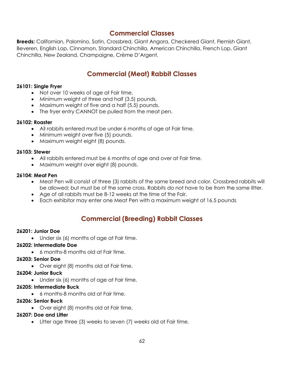### **Commercial Classes**

**Breeds:** Californian, Palomino, Satin, Crossbred, Giant Angora, Checkered Giant, Flemish Giant, Beveren, English Lop, Cinnamon, Standard Chinchilla, American Chinchilla, French Lop, Giant Chinchilla, New Zealand, Champaigne, Crème D'Argent.

# **Commercial (Meat) Rabbit Classes**

### **26101: Single Fryer**

- Not over 10 weeks of age at Fair time.
- Minimum weight of three and half (3.5) pounds.
- Maximum weight of five and a half (5.5) pounds.
- The fryer entry CANNOT be pulled from the meat pen.

### **26102: Roaster**

- All rabbits entered must be under 6 months of age at Fair time.
- Minimum weight over five (5) pounds.
- Maximum weight eight (8) pounds.

### **26103: Stewer**

- All rabbits entered must be 6 months of age and over at Fair time.
- Maximum weight over eight (8) pounds.

### **26104: Meat Pen**

- Meat Pen will consist of three (3) rabbits of the same breed and color. Crossbred rabbits will be allowed; but must be of the same cross. Rabbits do not have to be from the same litter.
- Age of all rabbits must be 8-12 weeks at the time of the Fair.
- Each exhibitor may enter one Meat Pen with a maximum weight of 16.5 pounds

# **Commercial (Breeding) Rabbit Classes**

### **26201: Junior Doe**

• Under six (6) months of age at Fair time.

### **26202: Intermediate Doe**

• 6 months-8 months old at Fair time.

### **26203: Senior Doe**

• Over eight (8) months old at Fair time.

### **26204: Junior Buck**

• Under six (6) months of age at Fair time.

### **26205: Intermediate Buck**

• 6 months-8 months old at Fair time.

### **26206: Senior Buck**

• Over eight (8) months old at Fair time.

### **26207: Doe and Litter**

• Litter age three (3) weeks to seven (7) weeks old at Fair time.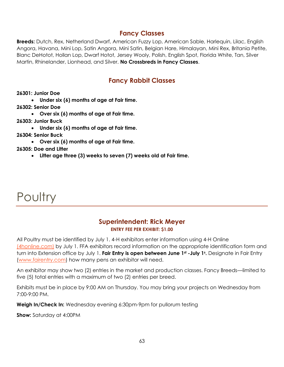### **Fancy Classes**

**Breeds:** Dutch, Rex, Netherland Dwarf, American Fuzzy Lop, American Sable, Harlequin, Lilac, English Angora, Havana, Mini Lop, Satin Angora, Mini Satin, Belgian Hare, Himalayan, Mini Rex, Britania Petite, Blanc DeHotot, Hollan Lop, Dwarf Hotot, Jersey Wooly, Polish, English Spot, Florida White, Tan, Silver Martin, Rhinelander, Lionhead, and Silver. **No Crossbreds in Fancy Classes**.

# **Fancy Rabbit Classes**

**26301: Junior Doe**

• **Under six (6) months of age at Fair time.**

**26302: Senior Doe**

• **Over six (6) months of age at Fair time.**

**26303: Junior Buck**

• **Under six (6) months of age at Fair time.**

**26304: Senior Buck**

• **Over six (6) months of age at Fair time.**

**26305: Doe and Litter**

• **Litter age three (3) weeks to seven (7) weeks old at Fair time.**

# **Poultry**

### **Superintendent: Rick Meyer ENTRY FEE PER EXHIBIT: \$1.00**

All Poultry must be identified by July 1. 4-H exhibitors enter information using 4-H Online [\(4honline.com\)](https://v2.4honline.com/#/user/sign-in) by July 1. FFA exhibitors record information on the appropriate identification form and turn into Extension office by July 1. **Fair Entry is open between June 1st -July 1<sup>s</sup> .** Designate in Fair Entry [\(www.fairentry.com\)](http://www.fairentry.com/) how many pens an exhibitor will need.

An exhibitor may show two (2) entries in the market and production classes. Fancy Breeds—limited to five (5) total entries with a maximum of two (2) entries per breed.

Exhibits must be in place by 9:00 AM on Thursday. You may bring your projects on Wednesday from 7:00-9:00 PM.

**Weigh In/Check In:** Wednesday evening 6:30pm-9pm for pullorum testing

**Show:** Saturday at 4:00PM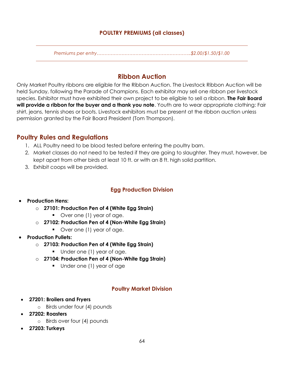### **POULTRY PREMIUMS (all classes)**

*Premiums per entry…………………………………………………….\$2.00/\$1.50/\$1.00*

# **Ribbon Auction**

Only Market Poultry ribbons are eligible for the Ribbon Auction. The Livestock Ribbon Auction will be held Sunday, following the Parade of Champions. Each exhibitor may sell one ribbon per livestock species. Exhibitor must have exhibited their own project to be eligible to sell a ribbon. **The Fair Board will provide a ribbon for the buyer and a thank you note**. Youth are to wear appropriate clothing: Fair shirt, jeans, tennis shoes or boots. Livestock exhibitors must be present at the ribbon auction unless permission granted by the Fair Board President (Tom Thompson).

# **Poultry Rules and Regulations**

- 1. ALL Poultry need to be blood tested before entering the poultry barn.
- 2. Market classes do not need to be tested if they are going to slaughter. They must, however, be kept apart from other birds at least 10 ft. or with an 8 ft. high solid partition.
- 3. Exhibit coops will be provided.

### **Egg Production Division**

### • **Production Hens:**

- o **27101: Production Pen of 4 (White Egg Strain)**
	- Over one (1) year of age.
- o **27102: Production Pen of 4 (Non-White Egg Strain)**
	- Over one (1) year of age.
- **Production Pullets:**
	- o **27103: Production Pen of 4 (White Egg Strain)**
		- Under one (1) year of age.
	- o **27104: Production Pen of 4 (Non-White Egg Strain)**
		- Under one (1) year of age

### **Poultry Market Division**

- **27201: Broilers and Fryers**
	- o Birds under four (4) pounds
- **27202: Roasters**
	- o Birds over four (4) pounds
- **27203: Turkeys**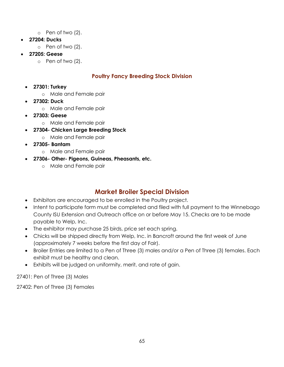- o Pen of two (2).
- **27204: Ducks**
	- o Pen of two (2).
- **27205: Geese**
	- o Pen of two (2).

### **Poultry Fancy Breeding Stock Division**

- **27301: Turkey**
	- o Male and Female pair
- **27302: Duck**
	- o Male and Female pair
- **27303: Geese**
	- o Male and Female pair
- **27304- Chicken Large Breeding Stock**
	- o Male and Female pair
- **27305- Bantam**
	- o Male and Female pair
- **27306- Other- Pigeons, Guineas, Pheasants, etc.**
	- o Male and Female pair

# **Market Broiler Special Division**

- Exhibitors are encouraged to be enrolled in the Poultry project.
- Intent to participate form must be completed and filed with full payment to the Winnebago County ISU Extension and Outreach office on or before May 15. Checks are to be made payable to Welp, Inc.
- The exhibitor may purchase 25 birds, price set each spring.
- Chicks will be shipped directly from Welp, Inc. in Bancroft around the first week of June (approximately 7 weeks before the first day of Fair).
- Broiler Entries are limited to a Pen of Three (3) males and/or a Pen of Three (3) females. Each exhibit must be healthy and clean.
- Exhibits will be judged on uniformity, merit, and rate of gain.

27401: Pen of Three (3) Males

27402: Pen of Three (3) Females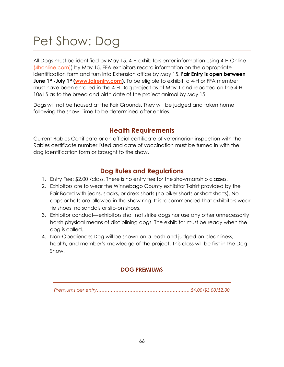# Pet Show: Dog

All Dogs must be identified by May 15. 4-H exhibitors enter information using 4-H Online [\(4honline.com\)\)](https://v2.4honline.com/#/user/sign-in) by May 15. FFA exhibitors record information on the appropriate identification form and turn into Extension office by May 15. **Fair Entry is open between June 1st -July 1st [\(www.fairentry.com\)](http://www.fairentry.com/).** To be eligible to exhibit, a 4-H or FFA member must have been enrolled in the 4-H Dog project as of May 1 and reported on the 4-H 106 LS as to the breed and birth date of the project animal by May 15.

Dogs will not be housed at the Fair Grounds. They will be judged and taken home following the show. Time to be determined after entries.

# **Health Requirements**

Current Rabies Certificate or an official certificate of veterinarian inspection with the Rabies certificate number listed and date of vaccination must be turned in with the dog identification form or brought to the show.

# **Dog Rules and Regulations**

- 1. Entry Fee: \$2.00 /class. There is no entry fee for the showmanship classes.
- 2. Exhibitors are to wear the Winnebago County exhibitor T-shirt provided by the Fair Board with jeans, slacks, or dress shorts (no biker shorts or short shorts). No caps or hats are allowed in the show ring. It is recommended that exhibitors wear tie shoes, no sandals or slip-on shoes.
- 3. Exhibitor conduct—exhibitors shall not strike dogs nor use any other unnecessarily harsh physical means of disciplining dogs. The exhibitor must be ready when the dog is called.
- 4. Non-Obedience: Dog will be shown on a leash and judged on cleanliness, health, and member's knowledge of the project. This class will be first in the Dog Show.

### **DOG PREMIUMS**

*Premiums per entry…………………………………………………….\$4.00/\$3.00/\$2.00*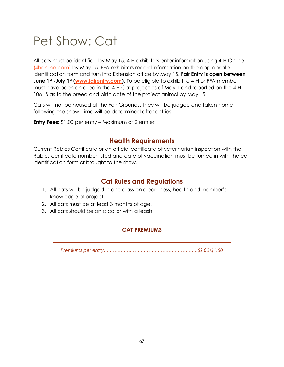# Pet Show: Cat

All cats must be identified by May 15. 4-H exhibitors enter information using 4-H Online [\(4honline.com\)](https://v2.4honline.com/#/user/sign-in) by May 15. FFA exhibitors record information on the appropriate identification form and turn into Extension office by May 15. **Fair Entry is open between June 1st -July 1st [\(www.fairentry.com\)](http://www.fairentry.com/).** To be eligible to exhibit, a 4-H or FFA member must have been enrolled in the 4-H Cat project as of May 1 and reported on the 4-H 106 LS as to the breed and birth date of the project animal by May 15.

Cats will not be housed at the Fair Grounds. They will be judged and taken home following the show. Time will be determined after entries.

**Entry Fees:** \$1.00 per entry – Maximum of 2 entries

# **Health Requirements**

Current Rabies Certificate or an official certificate of veterinarian inspection with the Rabies certificate number listed and date of vaccination must be turned in with the cat identification form or brought to the show.

# **Cat Rules and Regulations**

- 1. All cats will be judged in one class on cleanliness, health and member's knowledge of project.
- 2. All cats must be at least 3 months of age.
- 3. All cats should be on a collar with a leash

### **CAT PREMIUMS**

*Premiums per entry…………………………………………………….\$2.00/\$1.50*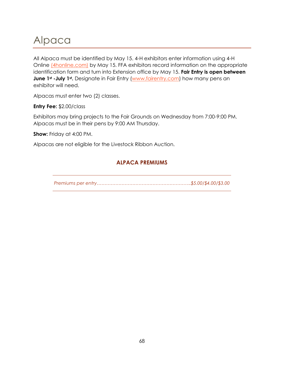# Alpaca

All Alpaca must be identified by May 15. 4-H exhibitors enter information using 4-H Online [\(4honline.com\)](https://v2.4honline.com/#/user/sign-in) by May 15. FFA exhibitors record information on the appropriate identification form and turn into Extension office by May 15. **Fair Entry is open between June 1<sup>st</sup> -July 1<sup>st</sup>**. Designate in Fair Entry [\(www.fairentry.com\)](http://www.fairentry.com/) how many pens an exhibitor will need.

Alpacas must enter two (2) classes.

**Entry Fee:** \$2.00/class

Exhibitors may bring projects to the Fair Grounds on Wednesday from 7:00-9:00 PM. Alpacas must be in their pens by 9:00 AM Thursday.

**Show:** Friday at 4:00 PM.

Alpacas are not eligible for the Livestock Ribbon Auction.

### **ALPACA PREMIUMS**

*Premiums per entry…………………………………………………….\$5.00/\$4.00/\$3.00*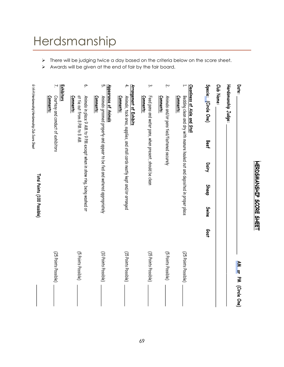# Herdsmanship

- ➢ There will be judging twice a day based on the criteria below on the score sheet.
- ➢ Awards will be given at the end of fair by the fair board.

|                                        | Exhibitors<br>Z.                                | φ.                                                                                                                   | ŗд                                                                                                            | 4.                                                                                                                | یب                                                                   | ŗ.                                                      | ∺                                                                                                                         |                      | Club Name: |                     | Date:                 |
|----------------------------------------|-------------------------------------------------|----------------------------------------------------------------------------------------------------------------------|---------------------------------------------------------------------------------------------------------------|-------------------------------------------------------------------------------------------------------------------|----------------------------------------------------------------------|---------------------------------------------------------|---------------------------------------------------------------------------------------------------------------------------|----------------------|------------|---------------------|-----------------------|
| 6: New Cheroking Structure Sheet Sheet | Courtesy and conduct of exhibitors<br>Comments: | Comments:<br>at tie out from 8 PM to 8 AM<br>Animals in place 9 AM to 9 PM except when in show ring, being washed or | Appearance of Animals<br>Animals groomed properly and appear to be fed and watered appropriately<br>Comments: | Arrangement of Exhibits<br>Animals, tack area, supplies, and stall cards neatly kept and/or arranged<br>Comments: | Comments:<br>Feed pans and water pans, when present, should be clean | Comments:<br>Animals and/or pens tied/fastened securely | Cleanliness of Aisle and Stall<br>Bedding clean and dry with manure hauled out and deposited in proper place<br>Comments: | Specie: (Circle One) |            | Herdsmanship Judge: |                       |
|                                        |                                                 |                                                                                                                      |                                                                                                               |                                                                                                                   |                                                                      |                                                         |                                                                                                                           | Beef                 |            |                     |                       |
|                                        |                                                 |                                                                                                                      |                                                                                                               |                                                                                                                   |                                                                      |                                                         |                                                                                                                           | Dairy                |            |                     |                       |
| Total Points (100 Possible)            |                                                 |                                                                                                                      |                                                                                                               |                                                                                                                   |                                                                      |                                                         |                                                                                                                           | Sheep                |            |                     |                       |
|                                        |                                                 |                                                                                                                      |                                                                                                               |                                                                                                                   |                                                                      |                                                         |                                                                                                                           | Swine                |            |                     |                       |
|                                        |                                                 |                                                                                                                      |                                                                                                               |                                                                                                                   |                                                                      |                                                         |                                                                                                                           | Goat                 |            |                     |                       |
|                                        | (25 Points Possible)                            | (5 Points Possible)                                                                                                  | (10 Points Possible)                                                                                          | (15 Points Possible)                                                                                              | (15 Points Possible)                                                 | (5 Points Possible)                                     | (25 Points Possible)                                                                                                      |                      |            |                     |                       |
|                                        |                                                 |                                                                                                                      |                                                                                                               |                                                                                                                   |                                                                      |                                                         |                                                                                                                           |                      |            |                     | AM or PM (Circle One) |

**HERDSMANSHIP SCORE SHEET**